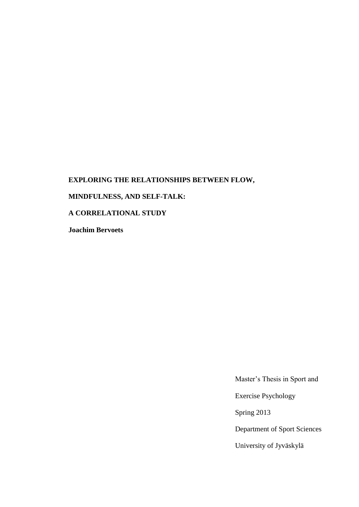# **EXPLORING THE RELATIONSHIPS BETWEEN FLOW,**

# **MINDFULNESS, AND SELF-TALK:**

## **A CORRELATIONAL STUDY**

**Joachim Bervoets**

Master's Thesis in Sport and

Exercise Psychology

Spring 2013

Department of Sport Sciences

University of Jyväskylä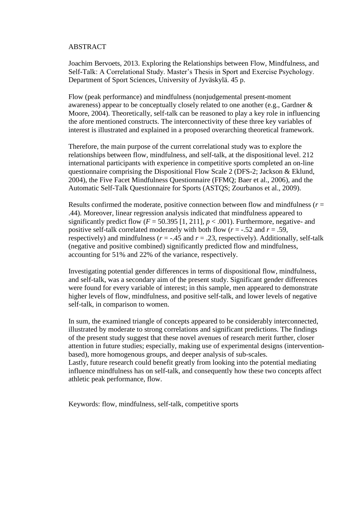## <span id="page-1-0"></span>ABSTRACT

Joachim Bervoets, 2013. Exploring the Relationships between Flow, Mindfulness, and Self-Talk: A Correlational Study. Master's Thesis in Sport and Exercise Psychology. Department of Sport Sciences, University of Jyväskylä. 45 p.

Flow (peak performance) and mindfulness (nonjudgemental present-moment awareness) appear to be conceptually closely related to one another (e.g., Gardner & Moore, 2004). Theoretically, self-talk can be reasoned to play a key role in influencing the afore mentioned constructs. The interconnectivity of these three key variables of interest is illustrated and explained in a proposed overarching theoretical framework.

Therefore, the main purpose of the current correlational study was to explore the relationships between flow, mindfulness, and self-talk, at the dispositional level. 212 international participants with experience in competitive sports completed an on-line questionnaire comprising the Dispositional Flow Scale 2 (DFS-2; Jackson & Eklund, 2004), the Five Facet Mindfulness Questionnaire (FFMQ; Baer et al., 2006), and the Automatic Self-Talk Questionnaire for Sports (ASTQS; Zourbanos et al., 2009).

Results confirmed the moderate, positive connection between flow and mindfulness  $(r =$ .44). Moreover, linear regression analysis indicated that mindfulness appeared to significantly predict flow  $(F = 50.395 \mid 1, 211]$ ,  $p < .001$ ). Furthermore, negative- and positive self-talk correlated moderately with both flow  $(r = -.52$  and  $r = .59$ . respectively) and mindfulness ( $r = -0.45$  and  $r = 0.23$ , respectively). Additionally, self-talk (negative and positive combined) significantly predicted flow and mindfulness, accounting for 51% and 22% of the variance, respectively.

Investigating potential gender differences in terms of dispositional flow, mindfulness, and self-talk, was a secondary aim of the present study. Significant gender differences were found for every variable of interest; in this sample, men appeared to demonstrate higher levels of flow, mindfulness, and positive self-talk, and lower levels of negative self-talk, in comparison to women.

In sum, the examined triangle of concepts appeared to be considerably interconnected, illustrated by moderate to strong correlations and significant predictions. The findings of the present study suggest that these novel avenues of research merit further, closer attention in future studies; especially, making use of experimental designs (interventionbased), more homogenous groups, and deeper analysis of sub-scales. Lastly, future research could benefit greatly from looking into the potential mediating influence mindfulness has on self-talk, and consequently how these two concepts affect athletic peak performance, flow.

Keywords: flow, mindfulness, self-talk, competitive sports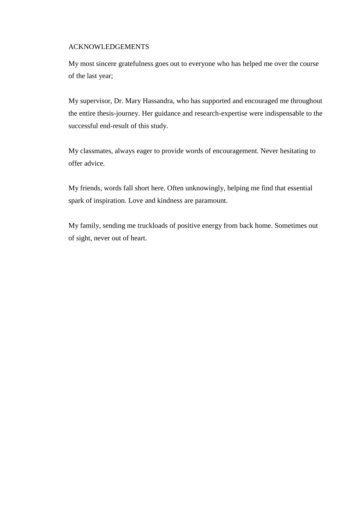## <span id="page-2-0"></span>ACKNOWLEDGEMENTS

My most sincere gratefulness goes out to everyone who has helped me over the course of the last year;

My supervisor, Dr. Mary Hassandra, who has supported and encouraged me throughout the entire thesis-journey. Her guidance and research-expertise were indispensable to the successful end-result of this study.

My classmates, always eager to provide words of encouragement. Never hesitating to offer advice.

My friends, words fall short here. Often unknowingly, helping me find that essential spark of inspiration. Love and kindness are paramount.

My family, sending me truckloads of positive energy from back home. Sometimes out of sight, never out of heart.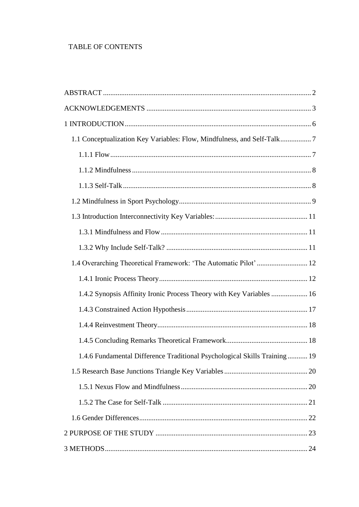# TABLE OF CONTENTS

| 1.1 Conceptualization Key Variables: Flow, Mindfulness, and Self-Talk7    |  |
|---------------------------------------------------------------------------|--|
|                                                                           |  |
|                                                                           |  |
|                                                                           |  |
|                                                                           |  |
|                                                                           |  |
|                                                                           |  |
|                                                                           |  |
| 1.4 Overarching Theoretical Framework: 'The Automatic Pilot'  12          |  |
|                                                                           |  |
| 1.4.2 Synopsis Affinity Ironic Process Theory with Key Variables  16      |  |
|                                                                           |  |
|                                                                           |  |
|                                                                           |  |
| 1.4.6 Fundamental Difference Traditional Psychological Skills Training 19 |  |
|                                                                           |  |
|                                                                           |  |
|                                                                           |  |
|                                                                           |  |
|                                                                           |  |
|                                                                           |  |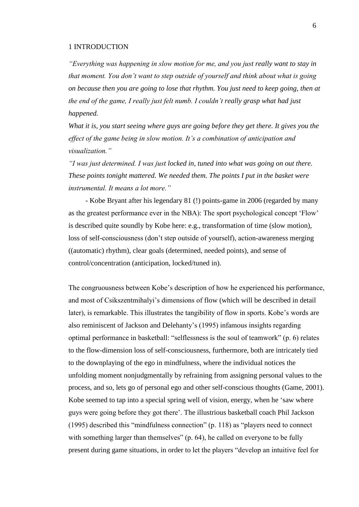#### <span id="page-5-0"></span>1 INTRODUCTION

*"Everything was happening in slow motion for me, and you just really want to stay in that moment. You don't want to step outside of yourself and think about what is going on because then you are going to lose that rhythm. You just need to keep going, then at the end of the game, I really just felt numb. I couldn't really grasp what had just happened.*

*What it is, you start seeing where guys are going before they get there. It gives you the effect of the game being in slow motion. It's a combination of anticipation and visualization."*

*"I was just determined. I was just locked in, tuned into what was going on out there. These points tonight mattered. We needed them. The points I put in the basket were instrumental. It means a lot more."*

- Kobe Bryant after his legendary 81 (!) points-game in 2006 (regarded by many as the greatest performance ever in the NBA): The sport psychological concept 'Flow' is described quite soundly by Kobe here: e.g., transformation of time (slow motion), loss of self-consciousness (don't step outside of yourself), action-awareness merging ((automatic) rhythm), clear goals (determined, needed points), and sense of control/concentration (anticipation, locked/tuned in).

The congruousness between Kobe's description of how he experienced his performance, and most of Csikszentmihalyi's dimensions of flow (which will be described in detail later), is remarkable. This illustrates the tangibility of flow in sports. Kobe's words are also reminiscent of Jackson and Delehanty's (1995) infamous insights regarding optimal performance in basketball: "selflessness is the soul of teamwork" (p. 6) relates to the flow-dimension loss of self-consciousness, furthermore, both are intricately tied to the downplaying of the ego in mindfulness, where the individual notices the unfolding moment nonjudgmentally by refraining from assigning personal values to the process, and so, lets go of personal ego and other self-conscious thoughts (Game, 2001). Kobe seemed to tap into a special spring well of vision, energy, when he 'saw where guys were going before they got there'. The illustrious basketball coach Phil Jackson (1995) described this "mindfulness connection" (p. 118) as "players need to connect with something larger than themselves" (p. 64), he called on everyone to be fully present during game situations, in order to let the players "develop an intuitive feel for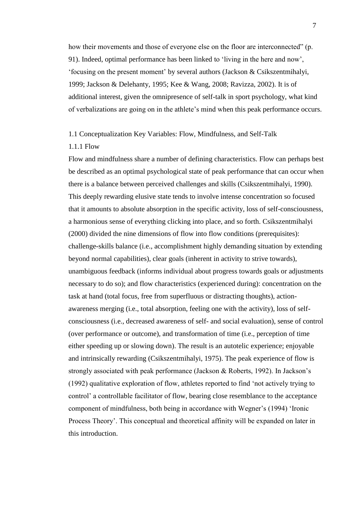how their movements and those of everyone else on the floor are interconnected" (p. 91). Indeed, optimal performance has been linked to 'living in the here and now', 'focusing on the present moment' by several authors (Jackson & Csikszentmihalyi, 1999; Jackson & Delehanty, 1995; Kee & Wang, 2008; Ravizza, 2002). It is of additional interest, given the omnipresence of self-talk in sport psychology, what kind of verbalizations are going on in the athlete's mind when this peak performance occurs.

## <span id="page-6-0"></span>1.1 Conceptualization Key Variables: Flow, Mindfulness, and Self-Talk

#### <span id="page-6-1"></span>1.1.1 Flow

Flow and mindfulness share a number of defining characteristics. Flow can perhaps best be described as an optimal psychological state of peak performance that can occur when there is a balance between perceived challenges and skills (Csikszentmihalyi, 1990). This deeply rewarding elusive state tends to involve intense concentration so focused that it amounts to absolute absorption in the specific activity, loss of self-consciousness, a harmonious sense of everything clicking into place, and so forth. Csikszentmihalyi (2000) divided the nine dimensions of flow into flow conditions (prerequisites): challenge-skills balance (i.e., accomplishment highly demanding situation by extending beyond normal capabilities), clear goals (inherent in activity to strive towards), unambiguous feedback (informs individual about progress towards goals or adjustments necessary to do so); and flow characteristics (experienced during): concentration on the task at hand (total focus, free from superfluous or distracting thoughts), actionawareness merging (i.e., total absorption, feeling one with the activity), loss of selfconsciousness (i.e., decreased awareness of self- and social evaluation), sense of control (over performance or outcome), and transformation of time (i.e., perception of time either speeding up or slowing down). The result is an autotelic experience; enjoyable and intrinsically rewarding (Csikszentmihalyi, 1975). The peak experience of flow is strongly associated with peak performance (Jackson & Roberts, 1992). In Jackson's (1992) qualitative exploration of flow, athletes reported to find 'not actively trying to control' a controllable facilitator of flow, bearing close resemblance to the acceptance component of mindfulness, both being in accordance with Wegner's (1994) 'Ironic Process Theory'. This conceptual and theoretical affinity will be expanded on later in this introduction.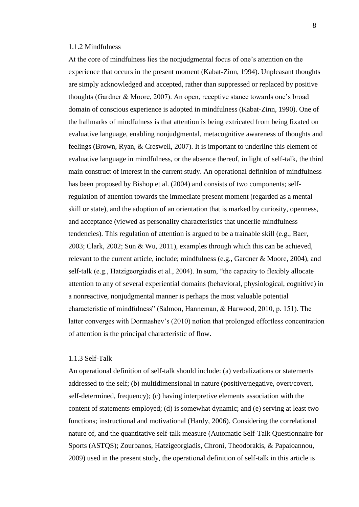#### <span id="page-7-0"></span>1.1.2 Mindfulness

At the core of mindfulness lies the nonjudgmental focus of one's attention on the experience that occurs in the present moment (Kabat-Zinn, 1994). Unpleasant thoughts are simply acknowledged and accepted, rather than suppressed or replaced by positive thoughts (Gardner & Moore, 2007). An open, receptive stance towards one's broad domain of conscious experience is adopted in mindfulness (Kabat-Zinn, 1990). One of the hallmarks of mindfulness is that attention is being extricated from being fixated on evaluative language, enabling nonjudgmental, metacognitive awareness of thoughts and feelings (Brown, Ryan, & Creswell, 2007). It is important to underline this element of evaluative language in mindfulness, or the absence thereof, in light of self-talk, the third main construct of interest in the current study. An operational definition of mindfulness has been proposed by Bishop et al. (2004) and consists of two components; selfregulation of attention towards the immediate present moment (regarded as a mental skill or state), and the adoption of an orientation that is marked by curiosity, openness, and acceptance (viewed as personality characteristics that underlie mindfulness tendencies). This regulation of attention is argued to be a trainable skill (e.g., Baer, 2003; Clark, 2002; Sun & Wu, 2011), examples through which this can be achieved, relevant to the current article, include; mindfulness (e.g., Gardner & Moore, 2004), and self-talk (e.g., Hatzigeorgiadis et al., 2004). In sum, "the capacity to flexibly allocate attention to any of several experiential domains (behavioral, physiological, cognitive) in a nonreactive, nonjudgmental manner is perhaps the most valuable potential characteristic of mindfulness" (Salmon, Hanneman, & Harwood, 2010, p. 151). The latter converges with Dormashev's (2010) notion that prolonged effortless concentration of attention is the principal characteristic of flow.

#### <span id="page-7-1"></span>1.1.3 Self-Talk

An operational definition of self-talk should include: (a) verbalizations or statements addressed to the self; (b) multidimensional in nature (positive/negative, overt/covert, self-determined, frequency); (c) having interpretive elements association with the content of statements employed; (d) is somewhat dynamic; and (e) serving at least two functions; instructional and motivational (Hardy, 2006). Considering the correlational nature of, and the quantitative self-talk measure (Automatic Self-Talk Questionnaire for Sports (ASTQS); Zourbanos, Hatzigeorgiadis, Chroni, Theodorakis, & Papaioannou, 2009) used in the present study, the operational definition of self-talk in this article is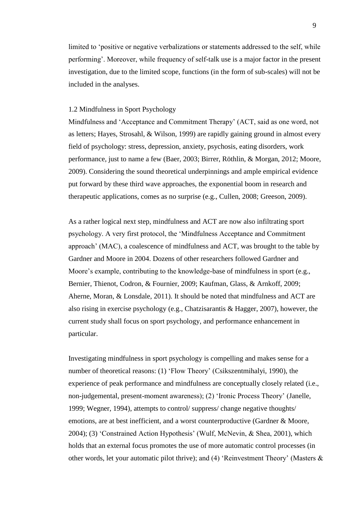limited to 'positive or negative verbalizations or statements addressed to the self, while performing'. Moreover, while frequency of self-talk use is a major factor in the present investigation, due to the limited scope, functions (in the form of sub-scales) will not be included in the analyses.

## <span id="page-8-0"></span>1.2 Mindfulness in Sport Psychology

Mindfulness and 'Acceptance and Commitment Therapy' (ACT, said as one word, not as letters; Hayes, Strosahl, & Wilson, 1999) are rapidly gaining ground in almost every field of psychology: stress, depression, anxiety, psychosis, eating disorders, work performance, just to name a few (Baer, 2003; Birrer, Röthlin, & Morgan, 2012; Moore, 2009). Considering the sound theoretical underpinnings and ample empirical evidence put forward by these third wave approaches, the exponential boom in research and therapeutic applications, comes as no surprise (e.g., Cullen, 2008; Greeson, 2009).

As a rather logical next step, mindfulness and ACT are now also infiltrating sport psychology. A very first protocol, the 'Mindfulness Acceptance and Commitment approach' (MAC), a coalescence of mindfulness and ACT, was brought to the table by Gardner and Moore in 2004. Dozens of other researchers followed Gardner and Moore's example, contributing to the knowledge-base of mindfulness in sport (e.g., Bernier, Thienot, Codron, & Fournier, 2009; Kaufman, Glass, & Arnkoff, 2009; Aherne, Moran, & Lonsdale, 2011). It should be noted that mindfulness and ACT are also rising in exercise psychology (e.g., Chatzisarantis & Hagger, 2007), however, the current study shall focus on sport psychology, and performance enhancement in particular.

Investigating mindfulness in sport psychology is compelling and makes sense for a number of theoretical reasons: (1) 'Flow Theory' (Csikszentmihalyi, 1990), the experience of peak performance and mindfulness are conceptually closely related (i.e., non-judgemental, present-moment awareness); (2) 'Ironic Process Theory' (Janelle, 1999; Wegner, 1994), attempts to control/ suppress/ change negative thoughts/ emotions, are at best inefficient, and a worst counterproductive (Gardner & Moore, 2004); (3) 'Constrained Action Hypothesis' (Wulf, McNevin, & Shea, 2001), which holds that an external focus promotes the use of more automatic control processes (in other words, let your automatic pilot thrive); and (4) 'Reinvestment Theory' (Masters &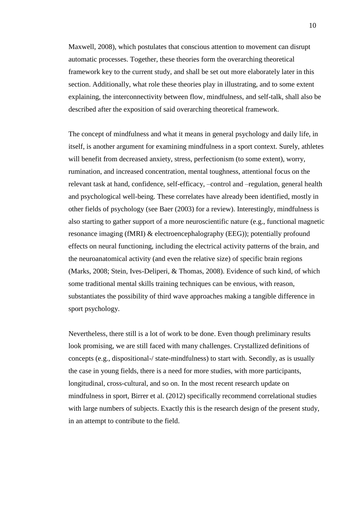Maxwell, 2008), which postulates that conscious attention to movement can disrupt automatic processes. Together, these theories form the overarching theoretical framework key to the current study, and shall be set out more elaborately later in this section. Additionally, what role these theories play in illustrating, and to some extent explaining, the interconnectivity between flow, mindfulness, and self-talk, shall also be described after the exposition of said overarching theoretical framework.

The concept of mindfulness and what it means in general psychology and daily life, in itself, is another argument for examining mindfulness in a sport context. Surely, athletes will benefit from decreased anxiety, stress, perfectionism (to some extent), worry, rumination, and increased concentration, mental toughness, attentional focus on the relevant task at hand, confidence, self-efficacy, –control and –regulation, general health and psychological well-being. These correlates have already been identified, mostly in other fields of psychology (see Baer (2003) for a review). Interestingly, mindfulness is also starting to gather support of a more neuroscientific nature (e.g., functional magnetic resonance imaging (fMRI) & electroencephalography (EEG)); potentially profound effects on neural functioning, including the electrical activity patterns of the brain, and the neuroanatomical activity (and even the relative size) of specific brain regions (Marks, 2008; Stein, Ives-Deliperi, & Thomas, 2008). Evidence of such kind, of which some traditional mental skills training techniques can be envious, with reason, substantiates the possibility of third wave approaches making a tangible difference in sport psychology.

Nevertheless, there still is a lot of work to be done. Even though preliminary results look promising, we are still faced with many challenges. Crystallized definitions of concepts (e.g., dispositional-/ state-mindfulness) to start with. Secondly, as is usually the case in young fields, there is a need for more studies, with more participants, longitudinal, cross-cultural, and so on. In the most recent research update on mindfulness in sport, Birrer et al. (2012) specifically recommend correlational studies with large numbers of subjects. Exactly this is the research design of the present study, in an attempt to contribute to the field.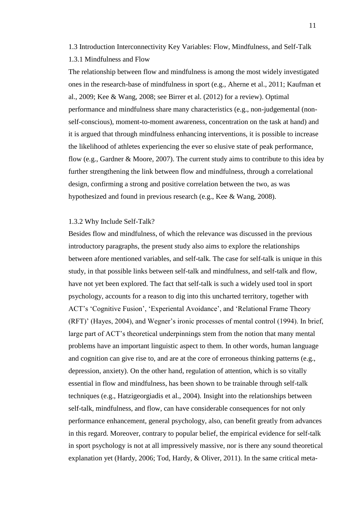<span id="page-10-1"></span><span id="page-10-0"></span>1.3 Introduction Interconnectivity Key Variables: Flow, Mindfulness, and Self-Talk 1.3.1 Mindfulness and Flow

The relationship between flow and mindfulness is among the most widely investigated ones in the research-base of mindfulness in sport (e.g., Aherne et al., 2011; Kaufman et al., 2009; Kee & Wang, 2008; see Birrer et al. (2012) for a review). Optimal performance and mindfulness share many characteristics (e.g., non-judgemental (nonself-conscious), moment-to-moment awareness, concentration on the task at hand) and it is argued that through mindfulness enhancing interventions, it is possible to increase the likelihood of athletes experiencing the ever so elusive state of peak performance, flow (e.g., Gardner & Moore, 2007). The current study aims to contribute to this idea by further strengthening the link between flow and mindfulness, through a correlational design, confirming a strong and positive correlation between the two, as was hypothesized and found in previous research (e.g., Kee & Wang, 2008).

## <span id="page-10-2"></span>1.3.2 Why Include Self-Talk?

Besides flow and mindfulness, of which the relevance was discussed in the previous introductory paragraphs, the present study also aims to explore the relationships between afore mentioned variables, and self-talk. The case for self-talk is unique in this study, in that possible links between self-talk and mindfulness, and self-talk and flow, have not yet been explored. The fact that self-talk is such a widely used tool in sport psychology, accounts for a reason to dig into this uncharted territory, together with ACT's 'Cognitive Fusion', 'Experiental Avoidance', and 'Relational Frame Theory (RFT)' (Hayes, 2004), and Wegner's ironic processes of mental control (1994). In brief, large part of ACT's theoretical underpinnings stem from the notion that many mental problems have an important linguistic aspect to them. In other words, human language and cognition can give rise to, and are at the core of erroneous thinking patterns (e.g., depression, anxiety). On the other hand, regulation of attention, which is so vitally essential in flow and mindfulness, has been shown to be trainable through self-talk techniques (e.g., Hatzigeorgiadis et al., 2004). Insight into the relationships between self-talk, mindfulness, and flow, can have considerable consequences for not only performance enhancement, general psychology, also, can benefit greatly from advances in this regard. Moreover, contrary to popular belief, the empirical evidence for self-talk in sport psychology is not at all impressively massive, nor is there any sound theoretical explanation yet (Hardy, 2006; Tod, Hardy, & Oliver, 2011). In the same critical meta-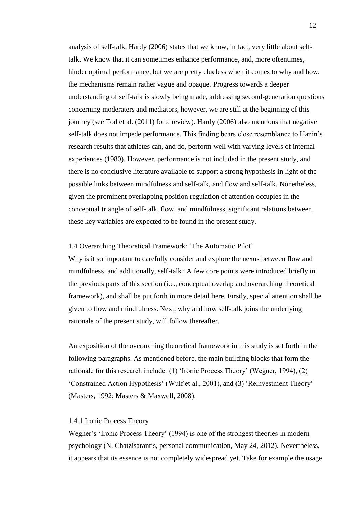analysis of self-talk, Hardy (2006) states that we know, in fact, very little about selftalk. We know that it can sometimes enhance performance, and, more oftentimes, hinder optimal performance, but we are pretty clueless when it comes to why and how, the mechanisms remain rather vague and opaque. Progress towards a deeper understanding of self-talk is slowly being made, addressing second-generation questions concerning moderaters and mediators, however, we are still at the beginning of this journey (see Tod et al. (2011) for a review). Hardy (2006) also mentions that negative self-talk does not impede performance. This finding bears close resemblance to Hanin's research results that athletes can, and do, perform well with varying levels of internal experiences (1980). However, performance is not included in the present study, and there is no conclusive literature available to support a strong hypothesis in light of the possible links between mindfulness and self-talk, and flow and self-talk. Nonetheless, given the prominent overlapping position regulation of attention occupies in the conceptual triangle of self-talk, flow, and mindfulness, significant relations between these key variables are expected to be found in the present study.

## <span id="page-11-0"></span>1.4 Overarching Theoretical Framework: 'The Automatic Pilot'

Why is it so important to carefully consider and explore the nexus between flow and mindfulness, and additionally, self-talk? A few core points were introduced briefly in the previous parts of this section (i.e., conceptual overlap and overarching theoretical framework), and shall be put forth in more detail here. Firstly, special attention shall be given to flow and mindfulness. Next, why and how self-talk joins the underlying rationale of the present study, will follow thereafter.

An exposition of the overarching theoretical framework in this study is set forth in the following paragraphs. As mentioned before, the main building blocks that form the rationale for this research include: (1) 'Ironic Process Theory' (Wegner, 1994), (2) 'Constrained Action Hypothesis' (Wulf et al., 2001), and (3) 'Reinvestment Theory' (Masters, 1992; Masters & Maxwell, 2008).

#### <span id="page-11-1"></span>1.4.1 Ironic Process Theory

Wegner's 'Ironic Process Theory' (1994) is one of the strongest theories in modern psychology (N. Chatzisarantis, personal communication, May 24, 2012). Nevertheless, it appears that its essence is not completely widespread yet. Take for example the usage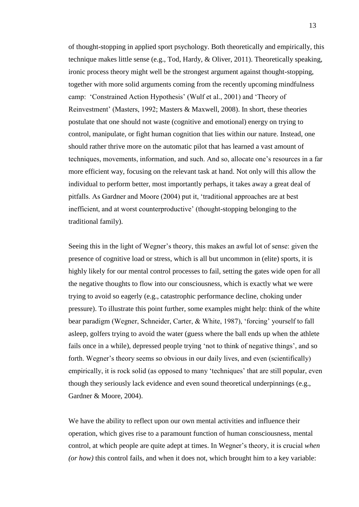of thought-stopping in applied sport psychology. Both theoretically and empirically, this technique makes little sense (e.g., Tod, Hardy, & Oliver, 2011). Theoretically speaking, ironic process theory might well be the strongest argument against thought-stopping, together with more solid arguments coming from the recently upcoming mindfulness camp: 'Constrained Action Hypothesis' (Wulf et al., 2001) and 'Theory of Reinvestment' (Masters, 1992; Masters & Maxwell, 2008). In short, these theories postulate that one should not waste (cognitive and emotional) energy on trying to control, manipulate, or fight human cognition that lies within our nature. Instead, one should rather thrive more on the automatic pilot that has learned a vast amount of techniques, movements, information, and such. And so, allocate one's resources in a far more efficient way, focusing on the relevant task at hand. Not only will this allow the individual to perform better, most importantly perhaps, it takes away a great deal of pitfalls. As Gardner and Moore (2004) put it, 'traditional approaches are at best inefficient, and at worst counterproductive' (thought-stopping belonging to the traditional family).

Seeing this in the light of Wegner's theory, this makes an awful lot of sense: given the presence of cognitive load or stress, which is all but uncommon in (elite) sports, it is highly likely for our mental control processes to fail, setting the gates wide open for all the negative thoughts to flow into our consciousness, which is exactly what we were trying to avoid so eagerly (e.g., catastrophic performance decline, choking under pressure). To illustrate this point further, some examples might help: think of the white bear paradigm (Wegner, Schneider, Carter, & White, 1987), 'forcing' yourself to fall asleep, golfers trying to avoid the water (guess where the ball ends up when the athlete fails once in a while), depressed people trying 'not to think of negative things', and so forth. Wegner's theory seems so obvious in our daily lives, and even (scientifically) empirically, it is rock solid (as opposed to many 'techniques' that are still popular, even though they seriously lack evidence and even sound theoretical underpinnings (e.g., Gardner & Moore, 2004).

We have the ability to reflect upon our own mental activities and influence their operation, which gives rise to a paramount function of human consciousness, mental control, at which people are quite adept at times. In Wegner's theory, it is crucial *when (or how)* this control fails, and when it does not, which brought him to a key variable: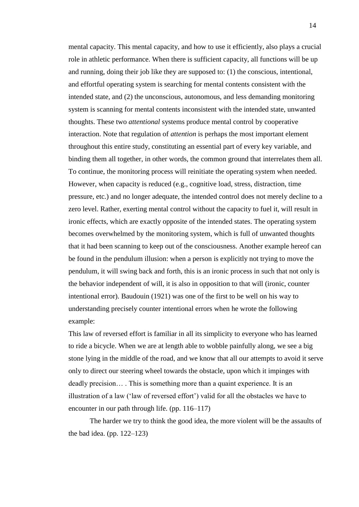mental capacity. This mental capacity, and how to use it efficiently, also plays a crucial role in athletic performance. When there is sufficient capacity, all functions will be up and running, doing their job like they are supposed to: (1) the conscious, intentional, and effortful operating system is searching for mental contents consistent with the intended state, and (2) the unconscious, autonomous, and less demanding monitoring system is scanning for mental contents inconsistent with the intended state, unwanted thoughts. These two *attentional* systems produce mental control by cooperative interaction. Note that regulation of *attention* is perhaps the most important element throughout this entire study, constituting an essential part of every key variable, and binding them all together, in other words, the common ground that interrelates them all. To continue, the monitoring process will reinitiate the operating system when needed. However, when capacity is reduced (e.g., cognitive load, stress, distraction, time pressure, etc.) and no longer adequate, the intended control does not merely decline to a zero level. Rather, exerting mental control without the capacity to fuel it, will result in ironic effects, which are exactly opposite of the intended states. The operating system becomes overwhelmed by the monitoring system, which is full of unwanted thoughts that it had been scanning to keep out of the consciousness. Another example hereof can be found in the pendulum illusion: when a person is explicitly not trying to move the pendulum, it will swing back and forth, this is an ironic process in such that not only is the behavior independent of will, it is also in opposition to that will (ironic, counter intentional error). Baudouin (1921) was one of the first to be well on his way to understanding precisely counter intentional errors when he wrote the following example:

This law of reversed effort is familiar in all its simplicity to everyone who has learned to ride a bicycle. When we are at length able to wobble painfully along, we see a big stone lying in the middle of the road, and we know that all our attempts to avoid it serve only to direct our steering wheel towards the obstacle, upon which it impinges with deadly precision… . This is something more than a quaint experience. It is an illustration of a law ('law of reversed effort') valid for all the obstacles we have to encounter in our path through life. (pp. 116–117)

The harder we try to think the good idea, the more violent will be the assaults of the bad idea. (pp.  $122-123$ )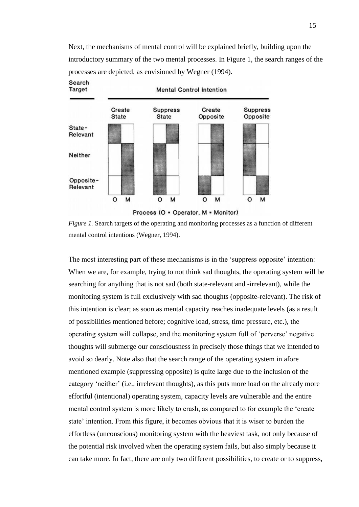Next, the mechanisms of mental control will be explained briefly, building upon the introductory summary of the two mental processes. In Figure 1, the search ranges of the processes are depicted, as envisioned by Wegner (1994).



*Figure 1.* Search targets of the operating and monitoring processes as a function of different mental control intentions (Wegner, 1994).

The most interesting part of these mechanisms is in the 'suppress opposite' intention: When we are, for example, trying to not think sad thoughts, the operating system will be searching for anything that is not sad (both state-relevant and -irrelevant), while the monitoring system is full exclusively with sad thoughts (opposite-relevant). The risk of this intention is clear; as soon as mental capacity reaches inadequate levels (as a result of possibilities mentioned before; cognitive load, stress, time pressure, etc.), the operating system will collapse, and the monitoring system full of 'perverse' negative thoughts will submerge our consciousness in precisely those things that we intended to avoid so dearly. Note also that the search range of the operating system in afore mentioned example (suppressing opposite) is quite large due to the inclusion of the category 'neither' (i.e., irrelevant thoughts), as this puts more load on the already more effortful (intentional) operating system, capacity levels are vulnerable and the entire mental control system is more likely to crash, as compared to for example the 'create state' intention. From this figure, it becomes obvious that it is wiser to burden the effortless (unconscious) monitoring system with the heaviest task, not only because of the potential risk involved when the operating system fails, but also simply because it can take more. In fact, there are only two different possibilities, to create or to suppress,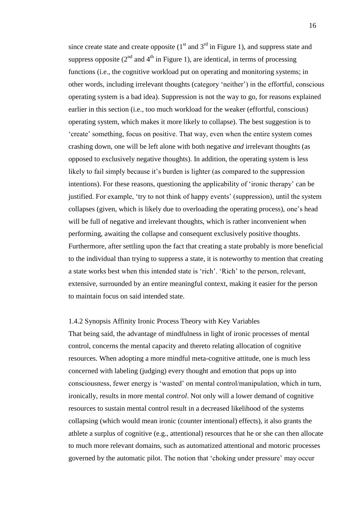since create state and create opposite  $(1<sup>st</sup>$  and  $3<sup>rd</sup>$  in Figure 1), and suppress state and suppress opposite  $(2^{nd}$  and  $4^{th}$  in Figure 1), are identical, in terms of processing functions (i.e., the cognitive workload put on operating and monitoring systems; in other words, including irrelevant thoughts (category 'neither') in the effortful, conscious operating system is a bad idea). Suppression is not the way to go, for reasons explained earlier in this section (i.e., too much workload for the weaker (effortful, conscious) operating system, which makes it more likely to collapse). The best suggestion is to 'create' something, focus on positive. That way, even when the entire system comes crashing down, one will be left alone with both negative *and* irrelevant thoughts (as opposed to exclusively negative thoughts). In addition, the operating system is less likely to fail simply because it's burden is lighter (as compared to the suppression intentions). For these reasons, questioning the applicability of 'ironic therapy' can be justified. For example, 'try to not think of happy events' (suppression), until the system collapses (given, which is likely due to overloading the operating process), one's head will be full of negative and irrelevant thoughts, which is rather inconvenient when performing, awaiting the collapse and consequent exclusively positive thoughts. Furthermore, after settling upon the fact that creating a state probably is more beneficial to the individual than trying to suppress a state, it is noteworthy to mention that creating a state works best when this intended state is 'rich'. 'Rich' to the person, relevant, extensive, surrounded by an entire meaningful context, making it easier for the person to maintain focus on said intended state.

## <span id="page-15-0"></span>1.4.2 Synopsis Affinity Ironic Process Theory with Key Variables

That being said, the advantage of mindfulness in light of ironic processes of mental control, concerns the mental capacity and thereto relating allocation of cognitive resources. When adopting a more mindful meta-cognitive attitude, one is much less concerned with labeling (judging) every thought and emotion that pops up into consciousness, fewer energy is 'wasted' on mental control/manipulation, which in turn, ironically, results in more mental *control*. Not only will a lower demand of cognitive resources to sustain mental control result in a decreased likelihood of the systems collapsing (which would mean ironic (counter intentional) effects), it also grants the athlete a surplus of cognitive (e.g., attentional) resources that he or she can then allocate to much more relevant domains, such as automatized attentional and motoric processes governed by the automatic pilot. The notion that 'choking under pressure' may occur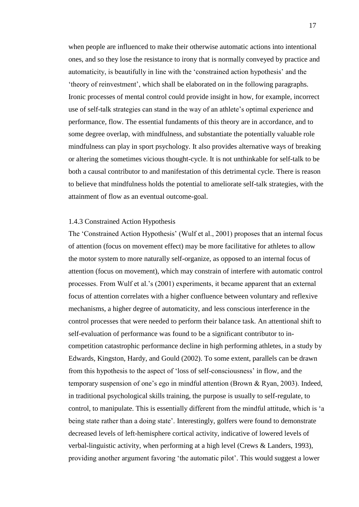when people are influenced to make their otherwise automatic actions into intentional ones, and so they lose the resistance to irony that is normally conveyed by practice and automaticity, is beautifully in line with the 'constrained action hypothesis' and the 'theory of reinvestment', which shall be elaborated on in the following paragraphs. Ironic processes of mental control could provide insight in how, for example, incorrect use of self-talk strategies can stand in the way of an athlete's optimal experience and performance, flow. The essential fundaments of this theory are in accordance, and to some degree overlap, with mindfulness, and substantiate the potentially valuable role mindfulness can play in sport psychology. It also provides alternative ways of breaking or altering the sometimes vicious thought-cycle. It is not unthinkable for self-talk to be both a causal contributor to and manifestation of this detrimental cycle. There is reason to believe that mindfulness holds the potential to ameliorate self-talk strategies, with the attainment of flow as an eventual outcome-goal.

#### <span id="page-16-0"></span>1.4.3 Constrained Action Hypothesis

The 'Constrained Action Hypothesis' (Wulf et al., 2001) proposes that an internal focus of attention (focus on movement effect) may be more facilitative for athletes to allow the motor system to more naturally self-organize, as opposed to an internal focus of attention (focus on movement), which may constrain of interfere with automatic control processes. From Wulf et al.'s (2001) experiments, it became apparent that an external focus of attention correlates with a higher confluence between voluntary and reflexive mechanisms, a higher degree of automaticity, and less conscious interference in the control processes that were needed to perform their balance task. An attentional shift to self-evaluation of performance was found to be a significant contributor to incompetition catastrophic performance decline in high performing athletes, in a study by Edwards, Kingston, Hardy, and Gould (2002). To some extent, parallels can be drawn from this hypothesis to the aspect of 'loss of self-consciousness' in flow, and the temporary suspension of one's ego in mindful attention (Brown & Ryan, 2003). Indeed, in traditional psychological skills training, the purpose is usually to self-regulate, to control, to manipulate. This is essentially different from the mindful attitude, which is 'a being state rather than a doing state'. Interestingly, golfers were found to demonstrate decreased levels of left-hemisphere cortical activity, indicative of lowered levels of verbal-linguistic activity, when performing at a high level (Crews & Landers, 1993), providing another argument favoring 'the automatic pilot'. This would suggest a lower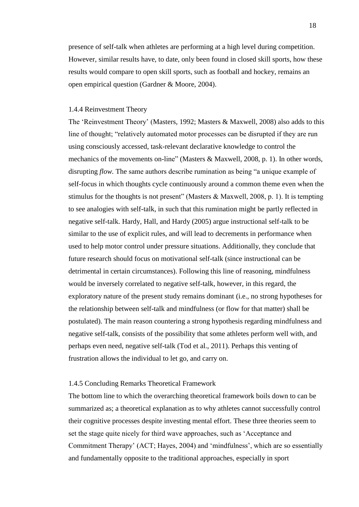presence of self-talk when athletes are performing at a high level during competition. However, similar results have, to date, only been found in closed skill sports, how these results would compare to open skill sports, such as football and hockey, remains an open empirical question (Gardner & Moore, 2004).

## <span id="page-17-0"></span>1.4.4 Reinvestment Theory

The 'Reinvestment Theory' (Masters, 1992; Masters & Maxwell, 2008) also adds to this line of thought; "relatively automated motor processes can be disrupted if they are run using consciously accessed, task-relevant declarative knowledge to control the mechanics of the movements on-line" (Masters & Maxwell, 2008, p. 1). In other words, disrupting *flow.* The same authors describe rumination as being "a unique example of self-focus in which thoughts cycle continuously around a common theme even when the stimulus for the thoughts is not present" (Masters & Maxwell, 2008, p. 1). It is tempting to see analogies with self-talk, in such that this rumination might be partly reflected in negative self-talk. Hardy, Hall, and Hardy (2005) argue instructional self-talk to be similar to the use of explicit rules, and will lead to decrements in performance when used to help motor control under pressure situations. Additionally, they conclude that future research should focus on motivational self-talk (since instructional can be detrimental in certain circumstances). Following this line of reasoning, mindfulness would be inversely correlated to negative self-talk, however, in this regard, the exploratory nature of the present study remains dominant (i.e., no strong hypotheses for the relationship between self-talk and mindfulness (or flow for that matter) shall be postulated). The main reason countering a strong hypothesis regarding mindfulness and negative self-talk, consists of the possibility that some athletes perform well with, and perhaps even need, negative self-talk (Tod et al., 2011). Perhaps this venting of frustration allows the individual to let go, and carry on.

## <span id="page-17-1"></span>1.4.5 Concluding Remarks Theoretical Framework

The bottom line to which the overarching theoretical framework boils down to can be summarized as; a theoretical explanation as to why athletes cannot successfully control their cognitive processes despite investing mental effort. These three theories seem to set the stage quite nicely for third wave approaches, such as 'Acceptance and Commitment Therapy' (ACT; Hayes, 2004) and 'mindfulness', which are so essentially and fundamentally opposite to the traditional approaches, especially in sport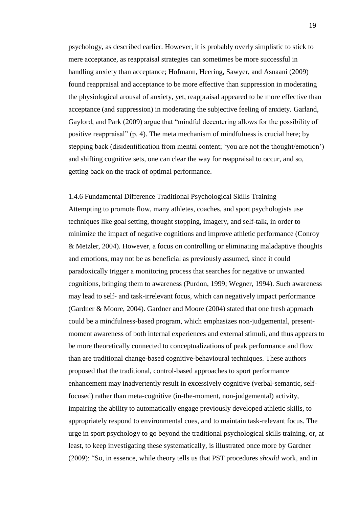psychology, as described earlier. However, it is probably overly simplistic to stick to mere acceptance, as reappraisal strategies can sometimes be more successful in handling anxiety than acceptance; Hofmann, Heering, Sawyer, and Asnaani (2009) found reappraisal and acceptance to be more effective than suppression in moderating the physiological arousal of anxiety, yet, reappraisal appeared to be more effective than acceptance (and suppression) in moderating the subjective feeling of anxiety. Garland, Gaylord, and Park (2009) argue that "mindful decentering allows for the possibility of positive reappraisal" (p. 4). The meta mechanism of mindfulness is crucial here; by stepping back (disidentification from mental content; 'you are not the thought/emotion') and shifting cognitive sets, one can clear the way for reappraisal to occur, and so, getting back on the track of optimal performance.

<span id="page-18-0"></span>1.4.6 Fundamental Difference Traditional Psychological Skills Training Attempting to promote flow, many athletes, coaches, and sport psychologists use techniques like goal setting, thought stopping, imagery, and self-talk, in order to minimize the impact of negative cognitions and improve athletic performance (Conroy & Metzler, 2004). However, a focus on controlling or eliminating maladaptive thoughts and emotions, may not be as beneficial as previously assumed, since it could paradoxically trigger a monitoring process that searches for negative or unwanted cognitions, bringing them to awareness (Purdon, 1999; Wegner, 1994). Such awareness may lead to self- and task-irrelevant focus, which can negatively impact performance (Gardner & Moore, 2004). Gardner and Moore (2004) stated that one fresh approach could be a mindfulness-based program, which emphasizes non-judgemental, presentmoment awareness of both internal experiences and external stimuli, and thus appears to be more theoretically connected to conceptualizations of peak performance and flow than are traditional change-based cognitive-behavioural techniques. These authors proposed that the traditional, control-based approaches to sport performance enhancement may inadvertently result in excessively cognitive (verbal-semantic, selffocused) rather than meta-cognitive (in-the-moment, non-judgemental) activity, impairing the ability to automatically engage previously developed athletic skills, to appropriately respond to environmental cues, and to maintain task-relevant focus. The urge in sport psychology to go beyond the traditional psychological skills training, or, at least, to keep investigating these systematically, is illustrated once more by Gardner (2009): "So, in essence, while theory tells us that PST procedures *should* work, and in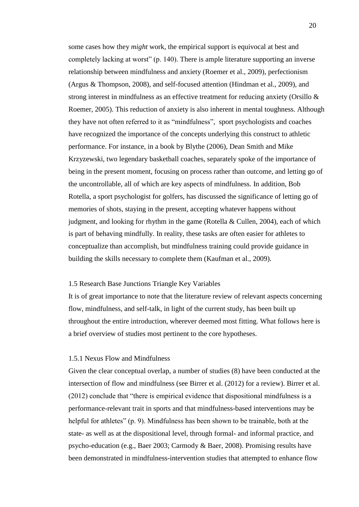some cases how they *might* work, the empirical support is equivocal at best and completely lacking at worst" (p. 140). There is ample literature supporting an inverse relationship between mindfulness and anxiety (Roemer et al., 2009), perfectionism (Argus & Thompson, 2008), and self-focused attention (Hindman et al., 2009), and strong interest in mindfulness as an effective treatment for reducing anxiety (Orsillo & Roemer, 2005). This reduction of anxiety is also inherent in mental toughness. Although they have not often referred to it as "mindfulness", sport psychologists and coaches have recognized the importance of the concepts underlying this construct to athletic performance. For instance, in a book by Blythe (2006), Dean Smith and Mike Krzyzewski, two legendary basketball coaches, separately spoke of the importance of being in the present moment, focusing on process rather than outcome, and letting go of the uncontrollable, all of which are key aspects of mindfulness. In addition, Bob Rotella, a sport psychologist for golfers, has discussed the significance of letting go of memories of shots, staying in the present, accepting whatever happens without judgment, and looking for rhythm in the game (Rotella & Cullen, 2004), each of which is part of behaving mindfully. In reality, these tasks are often easier for athletes to conceptualize than accomplish, but mindfulness training could provide guidance in building the skills necessary to complete them (Kaufman et al., 2009).

## <span id="page-19-0"></span>1.5 Research Base Junctions Triangle Key Variables

It is of great importance to note that the literature review of relevant aspects concerning flow, mindfulness, and self-talk, in light of the current study, has been built up throughout the entire introduction, wherever deemed most fitting. What follows here is a brief overview of studies most pertinent to the core hypotheses.

#### <span id="page-19-1"></span>1.5.1 Nexus Flow and Mindfulness

Given the clear conceptual overlap, a number of studies (8) have been conducted at the intersection of flow and mindfulness (see Birrer et al. (2012) for a review). Birrer et al. (2012) conclude that "there is empirical evidence that dispositional mindfulness is a performance-relevant trait in sports and that mindfulness-based interventions may be helpful for athletes" (p. 9). Mindfulness has been shown to be trainable, both at the state- as well as at the dispositional level, through formal- and informal practice, and psycho-education (e.g., Baer 2003; Carmody & Baer, 2008). Promising results have been demonstrated in mindfulness-intervention studies that attempted to enhance flow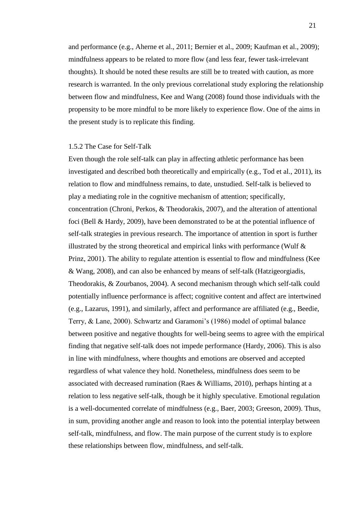and performance (e.g., Aherne et al., 2011; Bernier et al., 2009; Kaufman et al., 2009); mindfulness appears to be related to more flow (and less fear, fewer task-irrelevant thoughts). It should be noted these results are still be to treated with caution, as more research is warranted. In the only previous correlational study exploring the relationship between flow and mindfulness, Kee and Wang (2008) found those individuals with the propensity to be more mindful to be more likely to experience flow. One of the aims in the present study is to replicate this finding.

## <span id="page-20-0"></span>1.5.2 The Case for Self-Talk

Even though the role self-talk can play in affecting athletic performance has been investigated and described both theoretically and empirically (e.g., Tod et al., 2011), its relation to flow and mindfulness remains, to date, unstudied. Self-talk is believed to play a mediating role in the cognitive mechanism of attention; specifically, concentration (Chroni, Perkos, & Theodorakis, 2007), and the alteration of attentional foci (Bell & Hardy, 2009), have been demonstrated to be at the potential influence of self-talk strategies in previous research. The importance of attention in sport is further illustrated by the strong theoretical and empirical links with performance (Wulf  $\&$ Prinz, 2001). The ability to regulate attention is essential to flow and mindfulness (Kee & Wang, 2008), and can also be enhanced by means of self-talk (Hatzigeorgiadis, Theodorakis, & Zourbanos, 2004). A second mechanism through which self-talk could potentially influence performance is affect; cognitive content and affect are intertwined (e.g., Lazarus, 1991), and similarly, affect and performance are affiliated (e.g., Beedie, Terry, & Lane, 2000). Schwartz and Garamoni's (1986) model of optimal balance between positive and negative thoughts for well-being seems to agree with the empirical finding that negative self-talk does not impede performance (Hardy, 2006). This is also in line with mindfulness, where thoughts and emotions are observed and accepted regardless of what valence they hold. Nonetheless, mindfulness does seem to be associated with decreased rumination (Raes & Williams, 2010), perhaps hinting at a relation to less negative self-talk, though be it highly speculative. Emotional regulation is a well-documented correlate of mindfulness (e.g., Baer, 2003; Greeson, 2009). Thus, in sum, providing another angle and reason to look into the potential interplay between self-talk, mindfulness, and flow. The main purpose of the current study is to explore these relationships between flow, mindfulness, and self-talk.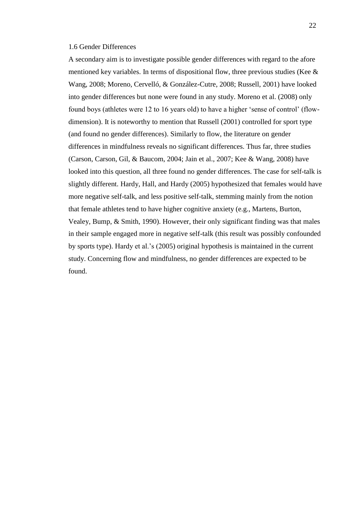## <span id="page-21-0"></span>1.6 Gender Differences

A secondary aim is to investigate possible gender differences with regard to the afore mentioned key variables. In terms of dispositional flow, three previous studies (Kee  $\&$ Wang, 2008; Moreno, Cervelló, & González-Cutre, 2008; Russell, 2001) have looked into gender differences but none were found in any study. Moreno et al. (2008) only found boys (athletes were 12 to 16 years old) to have a higher 'sense of control' (flowdimension). It is noteworthy to mention that Russell (2001) controlled for sport type (and found no gender differences). Similarly to flow, the literature on gender differences in mindfulness reveals no significant differences. Thus far, three studies (Carson, Carson, Gil, & Baucom, 2004; Jain et al., 2007; Kee & Wang, 2008) have looked into this question, all three found no gender differences. The case for self-talk is slightly different. Hardy, Hall, and Hardy (2005) hypothesized that females would have more negative self-talk, and less positive self-talk, stemming mainly from the notion that female athletes tend to have higher cognitive anxiety (e.g., Martens, Burton, Vealey, Bump, & Smith, 1990). However, their only significant finding was that males in their sample engaged more in negative self-talk (this result was possibly confounded by sports type). Hardy et al.'s (2005) original hypothesis is maintained in the current study. Concerning flow and mindfulness, no gender differences are expected to be found.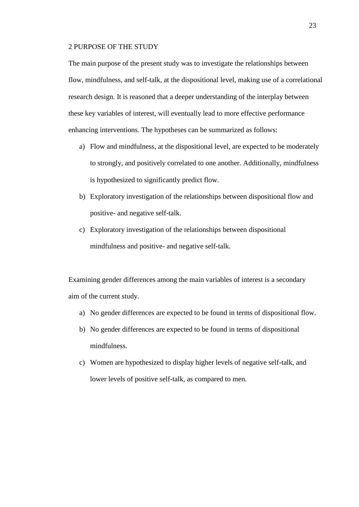## <span id="page-22-0"></span>2 PURPOSE OF THE STUDY

The main purpose of the present study was to investigate the relationships between flow, mindfulness, and self-talk, at the dispositional level, making use of a correlational research design. It is reasoned that a deeper understanding of the interplay between these key variables of interest, will eventually lead to more effective performance enhancing interventions. The hypotheses can be summarized as follows:

- a) Flow and mindfulness, at the dispositional level, are expected to be moderately to strongly, and positively correlated to one another. Additionally, mindfulness is hypothesized to significantly predict flow.
- b) Exploratory investigation of the relationships between dispositional flow and positive- and negative self-talk.
- c) Exploratory investigation of the relationships between dispositional mindfulness and positive- and negative self-talk.

Examining gender differences among the main variables of interest is a secondary aim of the current study.

- a) No gender differences are expected to be found in terms of dispositional flow.
- b) No gender differences are expected to be found in terms of dispositional mindfulness.
- c) Women are hypothesized to display higher levels of negative self-talk, and lower levels of positive self-talk, as compared to men.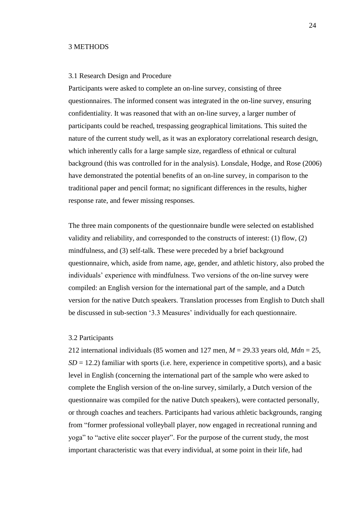## <span id="page-23-0"></span>3 METHODS

## <span id="page-23-1"></span>3.1 Research Design and Procedure

Participants were asked to complete an on-line survey, consisting of three questionnaires. The informed consent was integrated in the on-line survey, ensuring confidentiality. It was reasoned that with an on-line survey, a larger number of participants could be reached, trespassing geographical limitations. This suited the nature of the current study well, as it was an exploratory correlational research design, which inherently calls for a large sample size, regardless of ethnical or cultural background (this was controlled for in the analysis). Lonsdale, Hodge, and Rose (2006) have demonstrated the potential benefits of an on-line survey, in comparison to the traditional paper and pencil format; no significant differences in the results, higher response rate, and fewer missing responses.

The three main components of the questionnaire bundle were selected on established validity and reliability, and corresponded to the constructs of interest: (1) flow, (2) mindfulness, and (3) self-talk. These were preceded by a brief background questionnaire, which, aside from name, age, gender, and athletic history, also probed the individuals' experience with mindfulness. Two versions of the on-line survey were compiled: an English version for the international part of the sample, and a Dutch version for the native Dutch speakers. Translation processes from English to Dutch shall be discussed in sub-section '3.3 Measures' individually for each questionnaire.

#### <span id="page-23-2"></span>3.2 Participants

212 international individuals (85 women and 127 men, *M* = 29.33 years old, *Mdn* = 25,  $SD = 12.2$ ) familiar with sports (i.e. here, experience in competitive sports), and a basic level in English (concerning the international part of the sample who were asked to complete the English version of the on-line survey, similarly, a Dutch version of the questionnaire was compiled for the native Dutch speakers), were contacted personally, or through coaches and teachers. Participants had various athletic backgrounds, ranging from "former professional volleyball player, now engaged in recreational running and yoga" to "active elite soccer player". For the purpose of the current study, the most important characteristic was that every individual, at some point in their life, had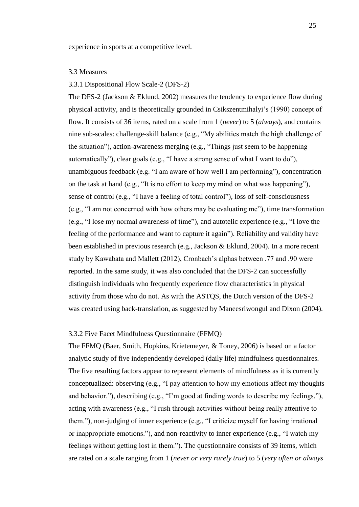experience in sports at a competitive level.

## <span id="page-24-0"></span>3.3 Measures

## <span id="page-24-1"></span>3.3.1 Dispositional Flow Scale-2 (DFS-2)

The DFS-2 (Jackson & Eklund, 2002) measures the tendency to experience flow during physical activity, and is theoretically grounded in Csikszentmihalyi's (1990) concept of flow. It consists of 36 items, rated on a scale from 1 (*never*) to 5 (*always*), and contains nine sub-scales: challenge-skill balance (e.g., "My abilities match the high challenge of the situation"), action-awareness merging (e.g., "Things just seem to be happening automatically"), clear goals (e.g., "I have a strong sense of what I want to do"), unambiguous feedback (e.g. "I am aware of how well I am performing"), concentration on the task at hand (e.g., "It is no effort to keep my mind on what was happening"), sense of control (e.g., "I have a feeling of total control"), loss of self-consciousness (e.g., "I am not concerned with how others may be evaluating me"), time transformation (e.g., "I lose my normal awareness of time"), and autotelic experience (e.g., "I love the feeling of the performance and want to capture it again"). Reliability and validity have been established in previous research (e.g., Jackson & Eklund, 2004). In a more recent study by Kawabata and Mallett (2012), Cronbach's alphas between .77 and .90 were reported. In the same study, it was also concluded that the DFS-2 can successfully distinguish individuals who frequently experience flow characteristics in physical activity from those who do not. As with the ASTQS, the Dutch version of the DFS-2 was created using back-translation, as suggested by Maneesriwongul and Dixon (2004).

## <span id="page-24-2"></span>3.3.2 Five Facet Mindfulness Questionnaire (FFMQ)

The FFMQ (Baer, Smith, Hopkins, Krietemeyer, & Toney, 2006) is based on a factor analytic study of five independently developed (daily life) mindfulness questionnaires. The five resulting factors appear to represent elements of mindfulness as it is currently conceptualized: observing (e.g., "I pay attention to how my emotions affect my thoughts and behavior."), describing (e.g., "I'm good at finding words to describe my feelings."), acting with awareness (e.g., "I rush through activities without being really attentive to them."), non-judging of inner experience (e.g., "I criticize myself for having irrational or inappropriate emotions."), and non-reactivity to inner experience (e.g., "I watch my feelings without getting lost in them."). The questionnaire consists of 39 items, which are rated on a scale ranging from 1 (*never or very rarely true*) to 5 (*very often or always*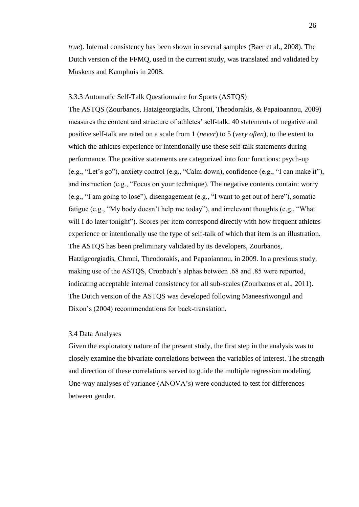*true*). Internal consistency has been shown in several samples (Baer et al., 2008). The Dutch version of the FFMQ, used in the current study, was translated and validated by Muskens and Kamphuis in 2008.

## <span id="page-25-0"></span>3.3.3 Automatic Self-Talk Questionnaire for Sports (ASTQS)

The ASTQS (Zourbanos, Hatzigeorgiadis, Chroni, Theodorakis, & Papaioannou, 2009) measures the content and structure of athletes' self-talk. 40 statements of negative and positive self-talk are rated on a scale from 1 (*never*) to 5 (*very often*), to the extent to which the athletes experience or intentionally use these self-talk statements during performance. The positive statements are categorized into four functions: psych-up (e.g., "Let's go"), anxiety control (e.g., "Calm down), confidence (e.g., "I can make it"), and instruction (e.g., "Focus on your technique). The negative contents contain: worry (e.g., "I am going to lose"), disengagement (e.g., "I want to get out of here"), somatic fatigue (e.g., "My body doesn't help me today"), and irrelevant thoughts (e.g., "What will I do later tonight"). Scores per item correspond directly with how frequent athletes experience or intentionally use the type of self-talk of which that item is an illustration. The ASTQS has been preliminary validated by its developers, Zourbanos, Hatzigeorgiadis, Chroni, Theodorakis, and Papaoiannou, in 2009. In a previous study, making use of the ASTQS, Cronbach's alphas between .68 and .85 were reported, indicating acceptable internal consistency for all sub-scales (Zourbanos et al., 2011). The Dutch version of the ASTQS was developed following Maneesriwongul and Dixon's (2004) recommendations for back-translation.

## <span id="page-25-1"></span>3.4 Data Analyses

Given the exploratory nature of the present study, the first step in the analysis was to closely examine the bivariate correlations between the variables of interest. The strength and direction of these correlations served to guide the multiple regression modeling. One-way analyses of variance (ANOVA's) were conducted to test for differences between gender.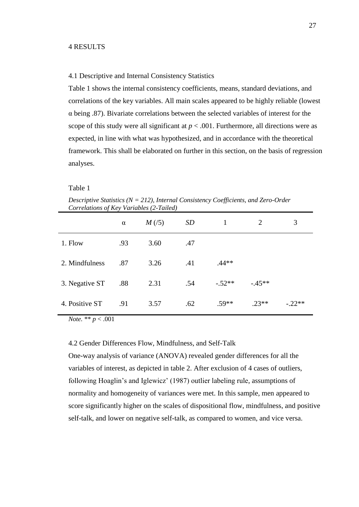#### <span id="page-26-0"></span>4 RESULTS

## <span id="page-26-1"></span>4.1 Descriptive and Internal Consistency Statistics

Table 1 shows the internal consistency coefficients, means, standard deviations, and correlations of the key variables. All main scales appeared to be highly reliable (lowest α being .87). Bivariate correlations between the selected variables of interest for the scope of this study were all significant at  $p < .001$ . Furthermore, all directions were as expected, in line with what was hypothesized, and in accordance with the theoretical framework. This shall be elaborated on further in this section, on the basis of regression analyses.

#### Table 1

*Descriptive Statistics (N = 212), Internal Consistency Coefficients, and Zero-Order Correlations of Key Variables (2-Tailed)*

|                | $\alpha$ | M(5) | <b>SD</b> |          | 2       | 3        |
|----------------|----------|------|-----------|----------|---------|----------|
| 1. Flow        | .93      | 3.60 | .47       |          |         |          |
| 2. Mindfulness | .87      | 3.26 | .41       | $.44**$  |         |          |
| 3. Negative ST | .88      | 2.31 | .54       | $-.52**$ | $-45**$ |          |
| 4. Positive ST | .91      | 3.57 | .62       | $.59**$  | $.23**$ | $-.22**$ |

*Note.* \*\* *p* < .001

#### <span id="page-26-2"></span>4.2 Gender Differences Flow, Mindfulness, and Self-Talk

One-way analysis of variance (ANOVA) revealed gender differences for all the variables of interest, as depicted in table 2. After exclusion of 4 cases of outliers, following Hoaglin's and Iglewicz' (1987) outlier labeling rule, assumptions of normality and homogeneity of variances were met. In this sample, men appeared to score significantly higher on the scales of dispositional flow, mindfulness, and positive self-talk, and lower on negative self-talk, as compared to women, and vice versa.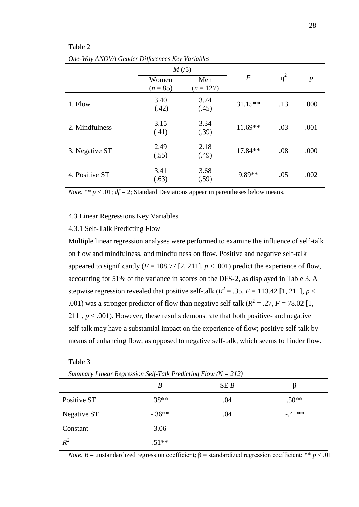| One-Way ANOVA Gender Differences Key Variables |                     |                    |                  |          |                  |
|------------------------------------------------|---------------------|--------------------|------------------|----------|------------------|
|                                                | M(5)                |                    |                  |          |                  |
|                                                | Women<br>$(n = 85)$ | Men<br>$(n = 127)$ | $\boldsymbol{F}$ | $\eta^2$ | $\boldsymbol{p}$ |
| 1. Flow                                        | 3.40<br>(.42)       | 3.74<br>(.45)      | $31.15**$        | .13      | .000             |
| 2. Mindfulness                                 | 3.15<br>(.41)       | 3.34<br>(.39)      | $11.69**$        | .03      | .001             |
| 3. Negative ST                                 | 2.49<br>(.55)       | 2.18<br>(.49)      | $17.84**$        | .08      | .000             |
| 4. Positive ST                                 | 3.41<br>(.63)       | 3.68<br>(.59)      | 9.89**           | .05      | .002             |

# Table 2

*Note.* \*\*  $p < .01$ ;  $df = 2$ ; Standard Deviations appear in parentheses below means.

## <span id="page-27-0"></span>4.3 Linear Regressions Key Variables

## <span id="page-27-1"></span>4.3.1 Self-Talk Predicting Flow

Multiple linear regression analyses were performed to examine the influence of self-talk on flow and mindfulness, and mindfulness on flow. Positive and negative self-talk appeared to significantly  $(F = 108.77 [2, 211], p < .001)$  predict the experience of flow, accounting for 51% of the variance in scores on the DFS-2, as displayed in Table 3. A stepwise regression revealed that positive self-talk ( $R^2 = .35$ ,  $F = 113.42$  [1, 211],  $p <$ .001) was a stronger predictor of flow than negative self-talk ( $R^2 = .27$ ,  $F = 78.02$  [1, 211],  $p < .001$ ). However, these results demonstrate that both positive- and negative self-talk may have a substantial impact on the experience of flow; positive self-talk by means of enhancing flow, as opposed to negative self-talk, which seems to hinder flow.

Table 3

|             | B        | SEB | B       |
|-------------|----------|-----|---------|
| Positive ST | $.38**$  | .04 | $.50**$ |
| Negative ST | $-.36**$ | .04 | $-41**$ |
| Constant    | 3.06     |     |         |
| $R^2$       | $.51**$  |     |         |

*Summary Linear Regression Self-Talk Predicting Flow (N = 212)*

*Note. B* = unstandardized regression coefficient;  $\beta$  = standardized regression coefficient; \*\* *p* < .01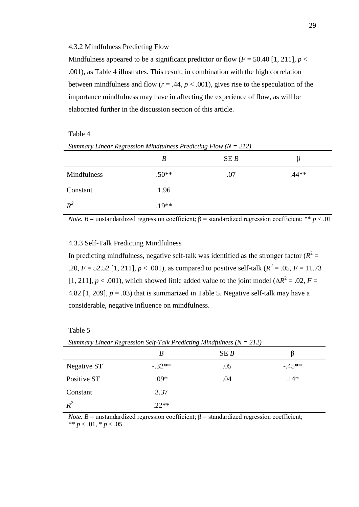#### <span id="page-28-0"></span>4.3.2 Mindfulness Predicting Flow

Mindfulness appeared to be a significant predictor or flow  $(F = 50.40$  [1, 211],  $p <$ .001), as Table 4 illustrates. This result, in combination with the high correlation between mindfulness and flow ( $r = .44$ ,  $p < .001$ ), gives rise to the speculation of the importance mindfulness may have in affecting the experience of flow, as will be elaborated further in the discussion section of this article.

#### Table 4

|             | B       | SEB |         |
|-------------|---------|-----|---------|
| Mindfulness | $.50**$ | .07 | $.44**$ |
| Constant    | 1.96    |     |         |
| $R^2$       | $.19**$ |     |         |

*Note. B* = unstandardized regression coefficient;  $\beta$  = standardized regression coefficient; \*\* *p* < .01

## <span id="page-28-1"></span>4.3.3 Self-Talk Predicting Mindfulness

In predicting mindfulness, negative self-talk was identified as the stronger factor  $(R^2 =$ .20,  $F = 52.52$  [1, 211],  $p < .001$ ), as compared to positive self-talk ( $R^2 = .05$ ,  $F = 11.73$ [1, 211],  $p < .001$ ), which showed little added value to the joint model ( $\Delta R^2 = .02$ ,  $F =$ 4.82  $[1, 209]$ ,  $p = .03$ ) that is summarized in Table 5. Negative self-talk may have a considerable, negative influence on mindfulness.

## Table 5

| Summary Linear Regression Self-Talk Predicting Mindfulness ( $N = 212$ ) |          |     |         |  |
|--------------------------------------------------------------------------|----------|-----|---------|--|
|                                                                          | В        | SEB |         |  |
| Negative ST                                                              | $-.32**$ | .05 | $-45**$ |  |
| Positive ST                                                              | $.09*$   | .04 | $.14*$  |  |
| Constant                                                                 | 3.37     |     |         |  |
| $R^2$                                                                    | $.22**$  |     |         |  |

*Summary Linear Regression Self-Talk Predicting Mindfulness (N = 212)*

*Note. B* = unstandardized regression coefficient;  $\beta$  = standardized regression coefficient; \*\*  $p < .01$ , \*  $p < .05$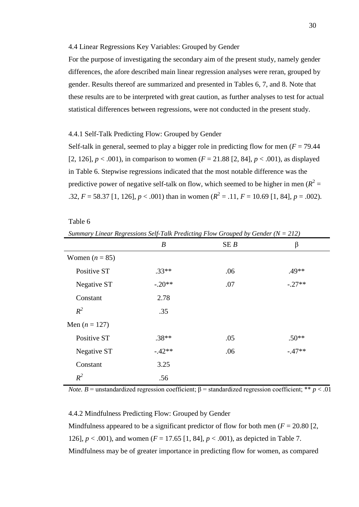#### <span id="page-29-0"></span>4.4 Linear Regressions Key Variables: Grouped by Gender

For the purpose of investigating the secondary aim of the present study, namely gender differences, the afore described main linear regression analyses were reran, grouped by gender. Results thereof are summarized and presented in Tables 6, 7, and 8. Note that these results are to be interpreted with great caution, as further analyses to test for actual statistical differences between regressions, were not conducted in the present study.

## <span id="page-29-1"></span>4.4.1 Self-Talk Predicting Flow: Grouped by Gender

Self-talk in general, seemed to play a bigger role in predicting flow for men ( $F = 79.44$ ) [2, 126],  $p < .001$ ), in comparison to women ( $F = 21.88$  [2, 84],  $p < .001$ ), as displayed in Table 6. Stepwise regressions indicated that the most notable difference was the predictive power of negative self-talk on flow, which seemed to be higher in men  $(R^2 =$ .32,  $F = 58.37$  [1, 126],  $p < .001$ ) than in women ( $R^2 = .11$ ,  $F = 10.69$  [1, 84],  $p = .002$ ).

Table 6

*Summary Linear Regressions Self-Talk Predicting Flow Grouped by Gender (N = 212)*

|                  | $\boldsymbol{B}$ | SEB | $\beta$  |
|------------------|------------------|-----|----------|
| Women $(n = 85)$ |                  |     |          |
| Positive ST      | $.33**$          | .06 | $.49**$  |
| Negative ST      | $-.20**$         | .07 | $-.27**$ |
| Constant         | 2.78             |     |          |
| $R^2$            | .35              |     |          |
| Men $(n = 127)$  |                  |     |          |
| Positive ST      | $.38**$          | .05 | $.50**$  |
| Negative ST      | $-.42**$         | .06 | $-.47**$ |
| Constant         | 3.25             |     |          |
| $R^2$            | .56              |     |          |

*Note. B* = unstandardized regression coefficient;  $\beta$  = standardized regression coefficient; \*\* *p* < .01

## <span id="page-29-2"></span>4.4.2 Mindfulness Predicting Flow: Grouped by Gender

Mindfulness appeared to be a significant predictor of flow for both men ( $F = 20.80$ ) [2, 126],  $p < .001$ ), and women ( $F = 17.65$  [1, 84],  $p < .001$ ), as depicted in Table 7. Mindfulness may be of greater importance in predicting flow for women, as compared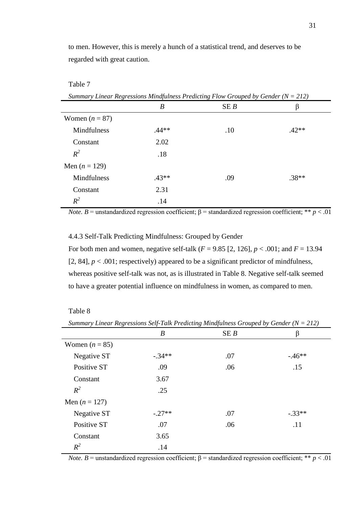to men. However, this is merely a hunch of a statistical trend, and deserves to be regarded with great caution.

Table 7

*Summary Linear Regressions Mindfulness Predicting Flow Grouped by Gender (N = 212)*

|                  | $\boldsymbol{B}$ | SEB | β       |
|------------------|------------------|-----|---------|
| Women $(n = 87)$ |                  |     |         |
| Mindfulness      | $.44**$          | .10 | $.42**$ |
| Constant         | 2.02             |     |         |
| $R^2$            | .18              |     |         |
| Men $(n = 129)$  |                  |     |         |
| Mindfulness      | $.43**$          | .09 | $.38**$ |
| Constant         | 2.31             |     |         |
| $R^2$            | .14              |     |         |

*Note. B* = unstandardized regression coefficient;  $\beta$  = standardized regression coefficient; \*\* *p* < .01

<span id="page-30-0"></span>4.4.3 Self-Talk Predicting Mindfulness: Grouped by Gender

For both men and women, negative self-talk  $(F = 9.85 \, [2, 126], p < .001$ ; and  $F = 13.94$ [2, 84],  $p < .001$ ; respectively) appeared to be a significant predictor of mindfulness, whereas positive self-talk was not, as is illustrated in Table 8. Negative self-talk seemed to have a greater potential influence on mindfulness in women, as compared to men.

| anie | ۹ |
|------|---|
|------|---|

| Summary Linear Regressions Self-Talk Predicting Mindfulness Grouped by Gender ( $N = 212$ ) |          |     |          |  |
|---------------------------------------------------------------------------------------------|----------|-----|----------|--|
|                                                                                             | B        | SEB | β        |  |
| Women $(n = 85)$                                                                            |          |     |          |  |
| Negative ST                                                                                 | $-.34**$ | .07 | $-46**$  |  |
| Positive ST                                                                                 | .09      | .06 | .15      |  |
| Constant                                                                                    | 3.67     |     |          |  |
| $R^2$                                                                                       | .25      |     |          |  |
| Men $(n = 127)$                                                                             |          |     |          |  |
| Negative ST                                                                                 | $-.27**$ | .07 | $-.33**$ |  |
| Positive ST                                                                                 | .07      | .06 | .11      |  |
| Constant                                                                                    | 3.65     |     |          |  |
| $R^2$                                                                                       | .14      |     |          |  |

*Note. B* = unstandardized regression coefficient;  $\beta$  = standardized regression coefficient; \*\* *p* < .01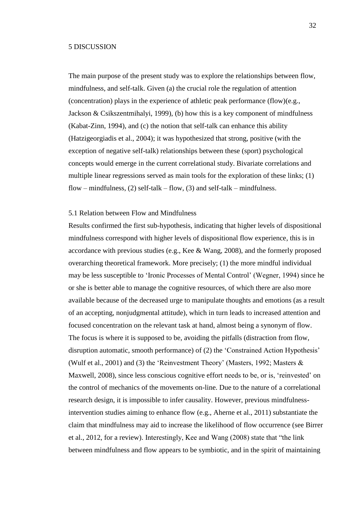## <span id="page-31-0"></span>5 DISCUSSION

The main purpose of the present study was to explore the relationships between flow, mindfulness, and self-talk. Given (a) the crucial role the regulation of attention (concentration) plays in the experience of athletic peak performance (flow)(e.g., Jackson & Csikszentmihalyi, 1999), (b) how this is a key component of mindfulness (Kabat-Zinn, 1994), and (c) the notion that self-talk can enhance this ability (Hatzigeorgiadis et al., 2004); it was hypothesized that strong, positive (with the exception of negative self-talk) relationships between these (sport) psychological concepts would emerge in the current correlational study. Bivariate correlations and multiple linear regressions served as main tools for the exploration of these links; (1) flow – mindfulness, (2) self-talk – flow, (3) and self-talk – mindfulness.

## <span id="page-31-1"></span>5.1 Relation between Flow and Mindfulness

Results confirmed the first sub-hypothesis, indicating that higher levels of dispositional mindfulness correspond with higher levels of dispositional flow experience, this is in accordance with previous studies (e.g., Kee & Wang, 2008), and the formerly proposed overarching theoretical framework. More precisely; (1) the more mindful individual may be less susceptible to 'Ironic Processes of Mental Control' (Wegner, 1994) since he or she is better able to manage the cognitive resources, of which there are also more available because of the decreased urge to manipulate thoughts and emotions (as a result of an accepting, nonjudgmental attitude), which in turn leads to increased attention and focused concentration on the relevant task at hand, almost being a synonym of flow. The focus is where it is supposed to be, avoiding the pitfalls (distraction from flow, disruption automatic, smooth performance) of (2) the 'Constrained Action Hypothesis' (Wulf et al., 2001) and (3) the 'Reinvestment Theory' (Masters, 1992; Masters & Maxwell, 2008), since less conscious cognitive effort needs to be, or is, 'reinvested' on the control of mechanics of the movements on-line. Due to the nature of a correlational research design, it is impossible to infer causality. However, previous mindfulnessintervention studies aiming to enhance flow (e.g., Aherne et al., 2011) substantiate the claim that mindfulness may aid to increase the likelihood of flow occurrence (see Birrer et al., 2012, for a review). Interestingly, Kee and Wang (2008) state that "the link between mindfulness and flow appears to be symbiotic, and in the spirit of maintaining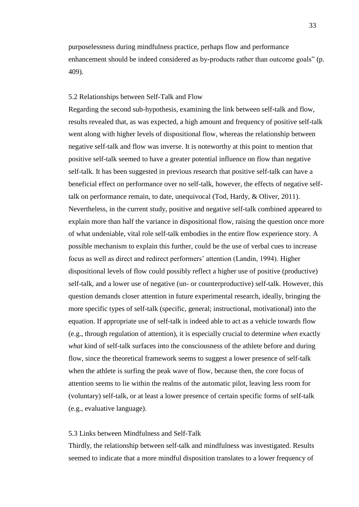purposelessness during mindfulness practice, perhaps flow and performance enhancement should be indeed considered as by-products rather than outcome goals" (p. 409).

## <span id="page-32-0"></span>5.2 Relationships between Self-Talk and Flow

Regarding the second sub-hypothesis, examining the link between self-talk and flow, results revealed that, as was expected, a high amount and frequency of positive self-talk went along with higher levels of dispositional flow, whereas the relationship between negative self-talk and flow was inverse. It is noteworthy at this point to mention that positive self-talk seemed to have a greater potential influence on flow than negative self-talk. It has been suggested in previous research that positive self-talk can have a beneficial effect on performance over no self-talk, however, the effects of negative selftalk on performance remain, to date, unequivocal (Tod, Hardy, & Oliver, 2011). Nevertheless, in the current study, positive and negative self-talk combined appeared to explain more than half the variance in dispositional flow, raising the question once more of what undeniable, vital role self-talk embodies in the entire flow experience story. A possible mechanism to explain this further, could be the use of verbal cues to increase focus as well as direct and redirect performers' attention (Landin, 1994). Higher dispositional levels of flow could possibly reflect a higher use of positive (productive) self-talk, and a lower use of negative (un- or counterproductive) self-talk. However, this question demands closer attention in future experimental research, ideally, bringing the more specific types of self-talk (specific, general; instructional, motivational) into the equation. If appropriate use of self-talk is indeed able to act as a vehicle towards flow (e.g., through regulation of attention), it is especially crucial to determine *when* exactly *what* kind of self-talk surfaces into the consciousness of the athlete before and during flow, since the theoretical framework seems to suggest a lower presence of self-talk when the athlete is surfing the peak wave of flow, because then, the core focus of attention seems to lie within the realms of the automatic pilot, leaving less room for (voluntary) self-talk, or at least a lower presence of certain specific forms of self-talk (e.g., evaluative language).

## <span id="page-32-1"></span>5.3 Links between Mindfulness and Self-Talk

Thirdly, the relationship between self-talk and mindfulness was investigated. Results seemed to indicate that a more mindful disposition translates to a lower frequency of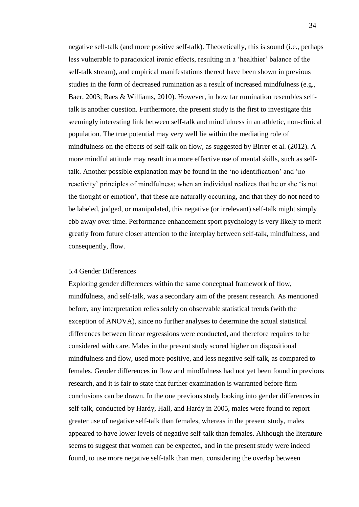negative self-talk (and more positive self-talk). Theoretically, this is sound (i.e., perhaps less vulnerable to paradoxical ironic effects, resulting in a 'healthier' balance of the self-talk stream), and empirical manifestations thereof have been shown in previous studies in the form of decreased rumination as a result of increased mindfulness (e.g., Baer, 2003; Raes & Williams, 2010). However, in how far rumination resembles selftalk is another question. Furthermore, the present study is the first to investigate this seemingly interesting link between self-talk and mindfulness in an athletic, non-clinical population. The true potential may very well lie within the mediating role of mindfulness on the effects of self-talk on flow, as suggested by Birrer et al. (2012). A more mindful attitude may result in a more effective use of mental skills, such as selftalk. Another possible explanation may be found in the 'no identification' and 'no reactivity' principles of mindfulness; when an individual realizes that he or she 'is not the thought or emotion', that these are naturally occurring, and that they do not need to be labeled, judged, or manipulated, this negative (or irrelevant) self-talk might simply ebb away over time. Performance enhancement sport psychology is very likely to merit greatly from future closer attention to the interplay between self-talk, mindfulness, and consequently, flow.

## <span id="page-33-0"></span>5.4 Gender Differences

Exploring gender differences within the same conceptual framework of flow, mindfulness, and self-talk, was a secondary aim of the present research. As mentioned before, any interpretation relies solely on observable statistical trends (with the exception of ANOVA), since no further analyses to determine the actual statistical differences between linear regressions were conducted, and therefore requires to be considered with care. Males in the present study scored higher on dispositional mindfulness and flow, used more positive, and less negative self-talk, as compared to females. Gender differences in flow and mindfulness had not yet been found in previous research, and it is fair to state that further examination is warranted before firm conclusions can be drawn. In the one previous study looking into gender differences in self-talk, conducted by Hardy, Hall, and Hardy in 2005, males were found to report greater use of negative self-talk than females, whereas in the present study, males appeared to have lower levels of negative self-talk than females. Although the literature seems to suggest that women can be expected, and in the present study were indeed found, to use more negative self-talk than men, considering the overlap between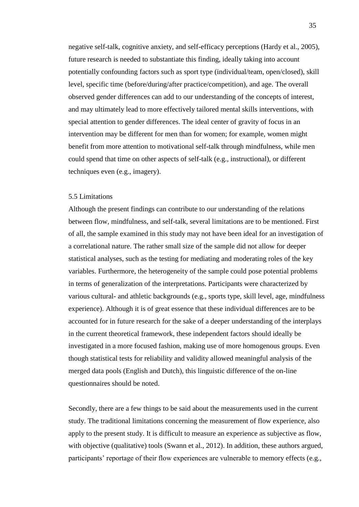negative self-talk, cognitive anxiety, and self-efficacy perceptions (Hardy et al., 2005), future research is needed to substantiate this finding, ideally taking into account potentially confounding factors such as sport type (individual/team, open/closed), skill level, specific time (before/during/after practice/competition), and age. The overall observed gender differences can add to our understanding of the concepts of interest, and may ultimately lead to more effectively tailored mental skills interventions, with special attention to gender differences. The ideal center of gravity of focus in an intervention may be different for men than for women; for example, women might benefit from more attention to motivational self-talk through mindfulness, while men could spend that time on other aspects of self-talk (e.g., instructional), or different techniques even (e.g., imagery).

## <span id="page-34-0"></span>5.5 Limitations

Although the present findings can contribute to our understanding of the relations between flow, mindfulness, and self-talk, several limitations are to be mentioned. First of all, the sample examined in this study may not have been ideal for an investigation of a correlational nature. The rather small size of the sample did not allow for deeper statistical analyses, such as the testing for mediating and moderating roles of the key variables. Furthermore, the heterogeneity of the sample could pose potential problems in terms of generalization of the interpretations. Participants were characterized by various cultural- and athletic backgrounds (e.g., sports type, skill level, age, mindfulness experience). Although it is of great essence that these individual differences are to be accounted for in future research for the sake of a deeper understanding of the interplays in the current theoretical framework, these independent factors should ideally be investigated in a more focused fashion, making use of more homogenous groups. Even though statistical tests for reliability and validity allowed meaningful analysis of the merged data pools (English and Dutch), this linguistic difference of the on-line questionnaires should be noted.

Secondly, there are a few things to be said about the measurements used in the current study. The traditional limitations concerning the measurement of flow experience, also apply to the present study. It is difficult to measure an experience as subjective as flow, with objective (qualitative) tools (Swann et al., 2012). In addition, these authors argued, participants' reportage of their flow experiences are vulnerable to memory effects (e.g.,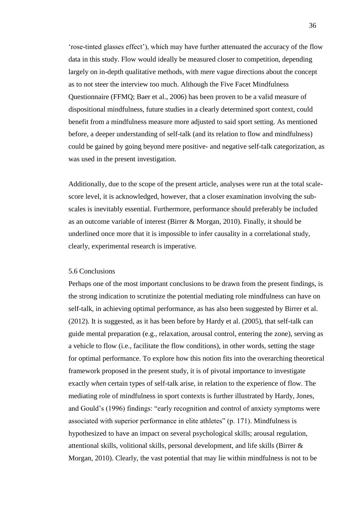'rose-tinted glasses effect'), which may have further attenuated the accuracy of the flow data in this study. Flow would ideally be measured closer to competition, depending largely on in-depth qualitative methods, with mere vague directions about the concept as to not steer the interview too much. Although the Five Facet Mindfulness Questionnaire (FFMQ; Baer et al., 2006) has been proven to be a valid measure of dispositional mindfulness, future studies in a clearly determined sport context, could benefit from a mindfulness measure more adjusted to said sport setting. As mentioned before, a deeper understanding of self-talk (and its relation to flow and mindfulness) could be gained by going beyond mere positive- and negative self-talk categorization, as was used in the present investigation.

Additionally, due to the scope of the present article, analyses were run at the total scalescore level, it is acknowledged, however, that a closer examination involving the subscales is inevitably essential. Furthermore, performance should preferably be included as an outcome variable of interest (Birrer & Morgan, 2010). Finally, it should be underlined once more that it is impossible to infer causality in a correlational study, clearly, experimental research is imperative.

## <span id="page-35-0"></span>5.6 Conclusions

Perhaps one of the most important conclusions to be drawn from the present findings, is the strong indication to scrutinize the potential mediating role mindfulness can have on self-talk, in achieving optimal performance, as has also been suggested by Birrer et al. (2012). It is suggested, as it has been before by Hardy et al. (2005), that self-talk can guide mental preparation (e.g., relaxation, arousal control, entering the zone), serving as a vehicle to flow (i.e., facilitate the flow conditions), in other words, setting the stage for optimal performance. To explore how this notion fits into the overarching theoretical framework proposed in the present study, it is of pivotal importance to investigate exactly *when* certain types of self-talk arise, in relation to the experience of flow. The mediating role of mindfulness in sport contexts is further illustrated by Hardy, Jones, and Gould's (1996) findings: "early recognition and control of anxiety symptoms were associated with superior performance in elite athletes" (p. 171). Mindfulness is hypothesized to have an impact on several psychological skills; arousal regulation, attentional skills, volitional skills, personal development, and life skills (Birrer & Morgan, 2010). Clearly, the vast potential that may lie within mindfulness is not to be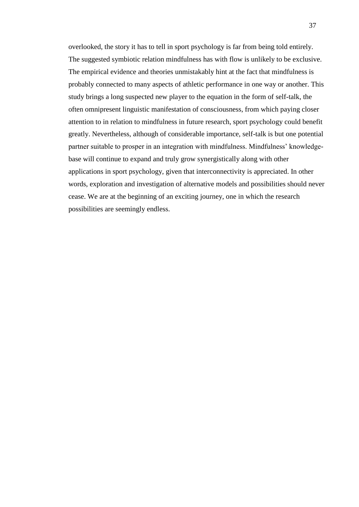overlooked, the story it has to tell in sport psychology is far from being told entirely. The suggested symbiotic relation mindfulness has with flow is unlikely to be exclusive. The empirical evidence and theories unmistakably hint at the fact that mindfulness is probably connected to many aspects of athletic performance in one way or another. This study brings a long suspected new player to the equation in the form of self-talk, the often omnipresent linguistic manifestation of consciousness, from which paying closer attention to in relation to mindfulness in future research, sport psychology could benefit greatly. Nevertheless, although of considerable importance, self-talk is but one potential partner suitable to prosper in an integration with mindfulness. Mindfulness' knowledgebase will continue to expand and truly grow synergistically along with other applications in sport psychology, given that interconnectivity is appreciated. In other words, exploration and investigation of alternative models and possibilities should never cease. We are at the beginning of an exciting journey, one in which the research possibilities are seemingly endless.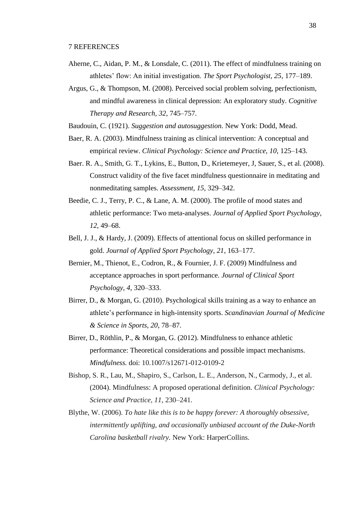- <span id="page-37-0"></span>Aherne, C., Aidan, P. M., & Lonsdale, C. (2011). The effect of mindfulness training on athletes' flow: An initial investigation. *The Sport Psychologist, 25*, 177–189.
- Argus, G., & Thompson, M. (2008). Perceived social problem solving, perfectionism, and mindful awareness in clinical depression: An exploratory study. *Cognitive Therapy and Research, 32*, 745–757.
- Baudouin, C. (1921). *Suggestion and autosuggestion.* New York: Dodd, Mead.
- Baer, R. A. (2003). Mindfulness training as clinical intervention: A conceptual and empirical review. *Clinical Psychology: Science and Practice, 10*, 125–143.
- Baer. R. A., Smith, G. T., Lykins, E., Button, D., Krietemeyer, J, Sauer, S., et al. (2008). Construct validity of the five facet mindfulness questionnaire in meditating and nonmeditating samples. *Assessment, 15*, 329–342.
- Beedie, C. J., Terry, P. C., & Lane, A. M. (2000). The profile of mood states and athletic performance: Two meta-analyses. *Journal of Applied Sport Psychology, 12*, 49–68.
- Bell, J. J., & Hardy, J. (2009). Effects of attentional focus on skilled performance in gold. *Journal of Applied Sport Psychology, 21*, 163–177.
- Bernier, M., Thienot, E., Codron, R., & Fournier, J. F. (2009) Mindfulness and acceptance approaches in sport performance. *Journal of Clinical Sport Psychology, 4*, 320–333.
- Birrer, D., & Morgan, G. (2010). Psychological skills training as a way to enhance an athlete's performance in high-intensity sports. *Scandinavian Journal of Medicine & Science in Sports, 20*, 78–87.
- Birrer, D., Röthlin, P., & Morgan, G. (2012). Mindfulness to enhance athletic performance: Theoretical considerations and possible impact mechanisms. *Mindfulness.* doi: 10.1007/s12671-012-0109-2
- Bishop, S. R., Lau, M., Shapiro, S., Carlson, L. E., Anderson, N., Carmody, J., et al. (2004). Mindfulness: A proposed operational definition. *Clinical Psychology: Science and Practice, 11*, 230–241.
- Blythe, W. (2006). *To hate like this is to be happy forever: A thoroughly obsessive, intermittently uplifting, and occasionally unbiased account of the Duke-North Carolina basketball rivalry.* New York: HarperCollins.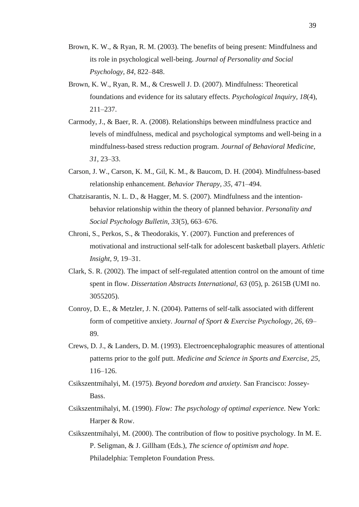- Brown, K. W., & Ryan, R. M. (2003). The benefits of being present: Mindfulness and its role in psychological well-being. *Journal of Personality and Social Psychology, 84*, 822–848.
- Brown, K. W., Ryan, R. M., & Creswell J. D. (2007). Mindfulness: Theoretical foundations and evidence for its salutary effects. *Psychological Inquiry, 18*(4), 211–237.
- Carmody, J., & Baer, R. A. (2008). Relationships between mindfulness practice and levels of mindfulness, medical and psychological symptoms and well-being in a mindfulness-based stress reduction program. *Journal of Behavioral Medicine, 31*, 23–33.
- Carson, J. W., Carson, K. M., Gil, K. M., & Baucom, D. H. (2004). Mindfulness-based relationship enhancement. *Behavior Therapy, 35*, 471–494.
- Chatzisarantis, N. L. D., & Hagger, M. S. (2007). Mindfulness and the intentionbehavior relationship within the theory of planned behavior. *Personality and Social Psychology Bulletin, 33*(5), 663–676.
- Chroni, S., Perkos, S., & Theodorakis, Y. (2007). Function and preferences of motivational and instructional self-talk for adolescent basketball players. *Athletic Insight, 9*, 19–31.
- Clark, S. R. (2002). The impact of self-regulated attention control on the amount of time spent in flow. *Dissertation Abstracts International, 63* (05), p. 2615B (UMI no. 3055205).
- Conroy, D. E., & Metzler, J. N. (2004). Patterns of self-talk associated with different form of competitive anxiety. *Journal of Sport & Exercise Psychology, 26*, 69– 89.
- Crews, D. J., & Landers, D. M. (1993). Electroencephalographic measures of attentional patterns prior to the golf putt. *Medicine and Science in Sports and Exercise, 25*, 116–126.
- Csikszentmihalyi, M. (1975). *Beyond boredom and anxiety.* San Francisco: Jossey-Bass.
- Csikszentmihalyi, M. (1990). *Flow: The psychology of optimal experience.* New York: Harper & Row.
- Csikszentmihalyi, M. (2000). The contribution of flow to positive psychology. In M. E. P. Seligman, & J. Gillham (Eds.), *The science of optimism and hope.*  Philadelphia: Templeton Foundation Press.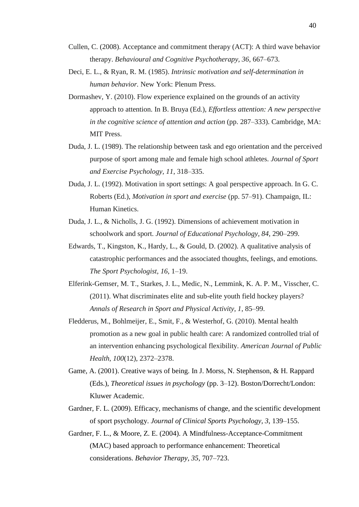- Cullen, C. (2008). Acceptance and commitment therapy (ACT): A third wave behavior therapy. *Behavioural and Cognitive Psychotherapy, 36*, 667–673.
- Deci, E. L., & Ryan, R. M. (1985). *Intrinsic motivation and self-determination in human behavior.* New York: Plenum Press.
- Dormashev, Y. (2010). Flow experience explained on the grounds of an activity approach to attention. In B. Bruya (Ed.), *Effortless attention: A new perspective in the cognitive science of attention and action* (pp. 287–333). Cambridge, MA: MIT Press.
- Duda, J. L. (1989). The relationship between task and ego orientation and the perceived purpose of sport among male and female high school athletes. *Journal of Sport and Exercise Psychology, 11*, 318–335.
- Duda, J. L. (1992). Motivation in sport settings: A goal perspective approach. In G. C. Roberts (Ed.), *Motivation in sport and exercise* (pp. 57–91). Champaign, IL: Human Kinetics.
- Duda, J. L., & Nicholls, J. G. (1992). Dimensions of achievement motivation in schoolwork and sport. *Journal of Educational Psychology, 84*, 290–299.
- Edwards, T., Kingston, K., Hardy, L., & Gould, D. (2002). A qualitative analysis of catastrophic performances and the associated thoughts, feelings, and emotions. *The Sport Psychologist, 16*, 1–19.
- Elferink-Gemser, M. T., Starkes, J. L., Medic, N., Lemmink, K. A. P. M., Visscher, C. (2011). What discriminates elite and sub-elite youth field hockey players? *Annals of Research in Sport and Physical Activity, 1*, 85–99.
- Fledderus, M., Bohlmeijer, E., Smit, F., & Westerhof, G. (2010). Mental health promotion as a new goal in public health care: A randomized controlled trial of an intervention enhancing psychological flexibility. *American Journal of Public Health, 100*(12), 2372–2378.
- Game, A. (2001). Creative ways of being. In J. Morss, N. Stephenson, & H. Rappard (Eds.), *Theoretical issues in psychology* (pp. 3–12). Boston/Dorrecht/London: Kluwer Academic.
- Gardner, F. L. (2009). Efficacy, mechanisms of change, and the scientific development of sport psychology. *Journal of Clinical Sports Psychology, 3*, 139–155.
- Gardner, F. L., & Moore, Z. E. (2004). A Mindfulness-Acceptance-Commitment (MAC) based approach to performance enhancement: Theoretical considerations. *Behavior Therapy, 35*, 707–723.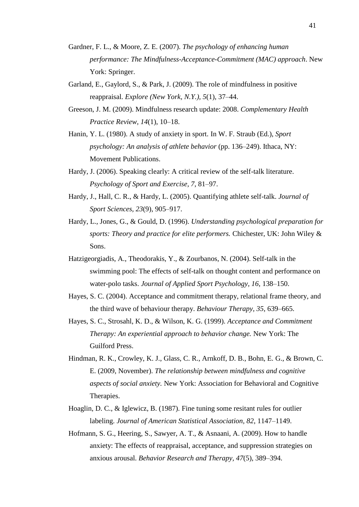- Gardner, F. L., & Moore, Z. E. (2007). *The psychology of enhancing human performance: The Mindfulness-Acceptance-Commitment (MAC) approach*. New York: Springer.
- Garland, E., Gaylord, S., & Park, J. (2009). The role of mindfulness in positive reappraisal. *Explore (New York, N.Y.), 5*(1), 37–44.
- Greeson, J. M. (2009). Mindfulness research update: 2008. *Complementary Health Practice Review, 14*(1), 10–18.
- Hanin, Y. L. (1980). A study of anxiety in sport. In W. F. Straub (Ed.), *Sport psychology: An analysis of athlete behavior* (pp. 136–249). Ithaca, NY: Movement Publications.
- Hardy, J. (2006). Speaking clearly: A critical review of the self-talk literature. *Psychology of Sport and Exercise, 7*, 81–97.
- Hardy, J., Hall, C. R., & Hardy, L. (2005). Quantifying athlete self-talk. *Journal of Sport Sciences, 23*(9), 905–917.
- Hardy, L., Jones, G., & Gould, D. (1996). *Understanding psychological preparation for sports: Theory and practice for elite performers.* Chichester, UK: John Wiley & Sons.
- Hatzigeorgiadis, A., Theodorakis, Y., & Zourbanos, N. (2004). Self-talk in the swimming pool: The effects of self-talk on thought content and performance on water-polo tasks. *Journal of Applied Sport Psychology, 16*, 138–150.
- Hayes, S. C. (2004). Acceptance and commitment therapy, relational frame theory, and the third wave of behaviour therapy. *Behaviour Therapy, 35*, 639–665.
- Hayes, S. C., Strosahl, K. D., & Wilson, K. G. (1999). *Acceptance and Commitment Therapy: An experiential approach to behavior change.* New York: The Guilford Press.
- Hindman, R. K., Crowley, K. J., Glass, C. R., Arnkoff, D. B., Bohn, E. G., & Brown, C. E. (2009, November). *The relationship between mindfulness and cognitive aspects of social anxiety.* New York: Association for Behavioral and Cognitive Therapies.
- Hoaglin, D. C., & Iglewicz, B. (1987). Fine tuning some resitant rules for outlier labeling. *Journal of American Statistical Association, 82*, 1147–1149.
- Hofmann, S. G., Heering, S., Sawyer, A. T., & Asnaani, A. (2009). How to handle anxiety: The effects of reappraisal, acceptance, and suppression strategies on anxious arousal. *Behavior Research and Therapy, 47*(5), 389–394.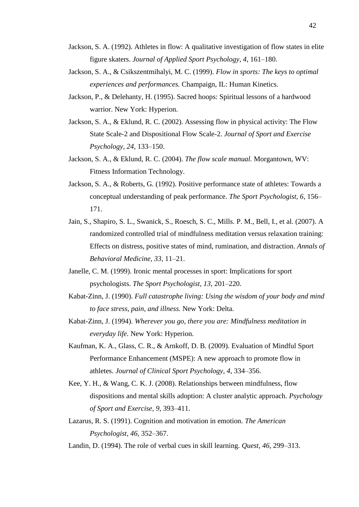- Jackson, S. A. (1992). Athletes in flow: A qualitative investigation of flow states in elite figure skaters. *Journal of Applied Sport Psychology, 4*, 161–180.
- Jackson, S. A., & Csikszentmihalyi, M. C. (1999). *Flow in sports: The keys to optimal experiences and performances.* Champaign, IL: Human Kinetics.
- Jackson, P., & Delehanty, H. (1995). Sacred hoops: Spiritual lessons of a hardwood warrior. New York: Hyperion.
- Jackson, S. A., & Eklund, R. C. (2002). Assessing flow in physical activity: The Flow State Scale-2 and Dispositional Flow Scale-2. *Journal of Sport and Exercise Psychology, 24*, 133–150.
- Jackson, S. A., & Eklund, R. C. (2004). *The flow scale manual.* Morgantown, WV: Fitness Information Technology.
- Jackson, S. A., & Roberts, G. (1992). Positive performance state of athletes: Towards a conceptual understanding of peak performance. *The Sport Psychologist, 6*, 156– 171.
- Jain, S., Shapiro, S. L., Swanick, S., Roesch, S. C., Mills. P. M., Bell, I., et al. (2007). A randomized controlled trial of mindfulness meditation versus relaxation training: Effects on distress, positive states of mind, rumination, and distraction. *Annals of Behavioral Medicine, 33*, 11–21.
- Janelle, C. M. (1999). Ironic mental processes in sport: Implications for sport psychologists. *The Sport Psychologist, 13*, 201–220.
- Kabat-Zinn, J. (1990). *Full catastrophe living: Using the wisdom of your body and mind to face stress, pain, and illness.* New York: Delta.
- Kabat-Zinn, J. (1994). *Wherever you go, there you are: Mindfulness meditation in everyday life.* New York: Hyperion.
- Kaufman, K. A., Glass, C. R., & Arnkoff, D. B. (2009). Evaluation of Mindful Sport Performance Enhancement (MSPE): A new approach to promote flow in athletes. *Journal of Clinical Sport Psychology, 4*, 334–356.
- Kee, Y. H., & Wang, C. K. J. (2008). Relationships between mindfulness, flow dispositions and mental skills adoption: A cluster analytic approach. *Psychology of Sport and Exercise, 9*, 393–411.
- Lazarus, R. S. (1991). Cognition and motivation in emotion. *The American Psychologist, 46*, 352–367.
- Landin, D. (1994). The role of verbal cues in skill learning. *Quest, 46*, 299–313.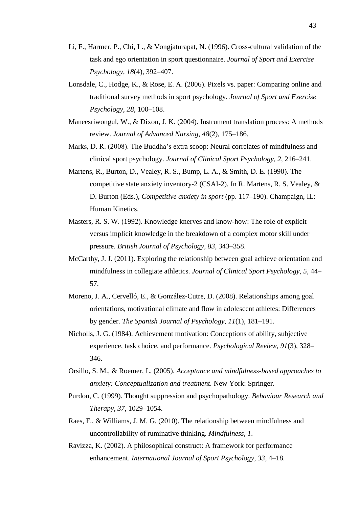- Li, F., Harmer, P., Chi, L., & Vongjaturapat, N. (1996). Cross-cultural validation of the task and ego orientation in sport questionnaire. *Journal of Sport and Exercise Psychology, 18*(4), 392–407.
- Lonsdale, C., Hodge, K., & Rose, E. A. (2006). Pixels vs. paper: Comparing online and traditional survey methods in sport psychology. *Journal of Sport and Exercise Psychology, 28*, 100–108.
- Maneesriwongul, W., & Dixon, J. K. (2004). Instrument translation process: A methods review. *Journal of Advanced Nursing, 48*(2), 175–186.
- Marks, D. R. (2008). The Buddha's extra scoop: Neural correlates of mindfulness and clinical sport psychology. *Journal of Clinical Sport Psychology, 2*, 216–241.
- Martens, R., Burton, D., Vealey, R. S., Bump, L. A., & Smith, D. E. (1990). The competitive state anxiety inventory-2 (CSAI-2). In R. Martens, R. S. Vealey, & D. Burton (Eds.), *Competitive anxiety in sport* (pp. 117–190). Champaign, IL: Human Kinetics.
- Masters, R. S. W. (1992). Knowledge knerves and know-how: The role of explicit versus implicit knowledge in the breakdown of a complex motor skill under pressure. *British Journal of Psychology, 83*, 343–358.
- McCarthy, J. J. (2011). Exploring the relationship between goal achieve orientation and mindfulness in collegiate athletics. *Journal of Clinical Sport Psychology, 5*, 44– 57.
- Moreno, J. A., Cervelló, E., & González-Cutre, D. (2008). Relationships among goal orientations, motivational climate and flow in adolescent athletes: Differences by gender. *The Spanish Journal of Psychology, 11*(1), 181–191.
- Nicholls, J. G. (1984). Achievement motivation: Conceptions of ability, subjective experience, task choice, and performance. *Psychological Review, 91*(3), 328– 346.
- Orsillo, S. M., & Roemer, L. (2005). *Acceptance and mindfulness-based approaches to anxiety: Conceptualization and treatment.* New York: Springer.
- Purdon, C. (1999). Thought suppression and psychopathology. *Behaviour Research and Therapy, 37*, 1029–1054.
- Raes, F., & Williams, J. M. G. (2010). The relationship between mindfulness and uncontrollability of ruminative thinking. *Mindfulness, 1*.
- Ravizza, K. (2002). A philosophical construct: A framework for performance enhancement. *International Journal of Sport Psychology, 33*, 4–18.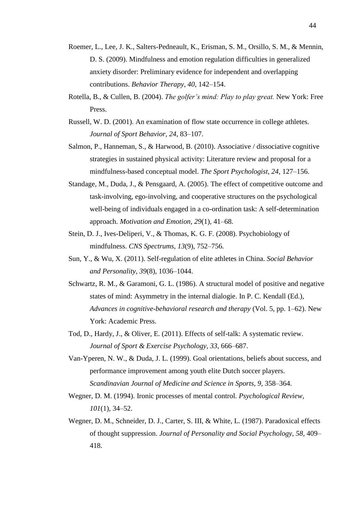- Roemer, L., Lee, J. K., Salters-Pedneault, K., Erisman, S. M., Orsillo, S. M., & Mennin, D. S. (2009). Mindfulness and emotion regulation difficulties in generalized anxiety disorder: Preliminary evidence for independent and overlapping contributions. *Behavior Therapy, 40*, 142–154.
- Rotella, B., & Cullen, B. (2004). *The golfer's mind: Play to play great.* New York: Free Press.
- Russell, W. D. (2001). An examination of flow state occurrence in college athletes. *Journal of Sport Behavior, 24*, 83–107.
- Salmon, P., Hanneman, S., & Harwood, B. (2010). Associative / dissociative cognitive strategies in sustained physical activity: Literature review and proposal for a mindfulness-based conceptual model. *The Sport Psychologist, 24*, 127–156.
- Standage, M., Duda, J., & Pensgaard, A. (2005). The effect of competitive outcome and task-involving, ego-involving, and cooperative structures on the psychological well-being of individuals engaged in a co-ordination task: A self-determination approach. *Motivation and Emotion, 29*(1), 41–68.
- Stein, D. J., Ives-Deliperi, V., & Thomas, K. G. F. (2008). Psychobiology of mindfulness. *CNS Spectrums, 13*(9), 752–756.
- Sun, Y., & Wu, X. (2011). Self-regulation of elite athletes in China. *Social Behavior and Personality, 39*(8), 1036–1044.
- Schwartz, R. M., & Garamoni, G. L. (1986). A structural model of positive and negative states of mind: Asymmetry in the internal dialogie. In P. C. Kendall (Ed.), *Advances in cognitive-behavioral research and therapy* (Vol. 5, pp. 1–62). New York: Academic Press.
- Tod, D., Hardy, J., & Oliver, E. (2011). Effects of self-talk: A systematic review. *Journal of Sport & Exercise Psychology, 33*, 666–687.
- Van-Yperen, N. W., & Duda, J. L. (1999). Goal orientations, beliefs about success, and performance improvement among youth elite Dutch soccer players. *Scandinavian Journal of Medicine and Science in Sports, 9*, 358–364.
- Wegner, D. M. (1994). Ironic processes of mental control. *Psychological Review, 101*(1), 34–52.
- Wegner, D. M., Schneider, D. J., Carter, S. III, & White, L. (1987). Paradoxical effects of thought suppression. *Journal of Personality and Social Psychology, 58*, 409– 418.